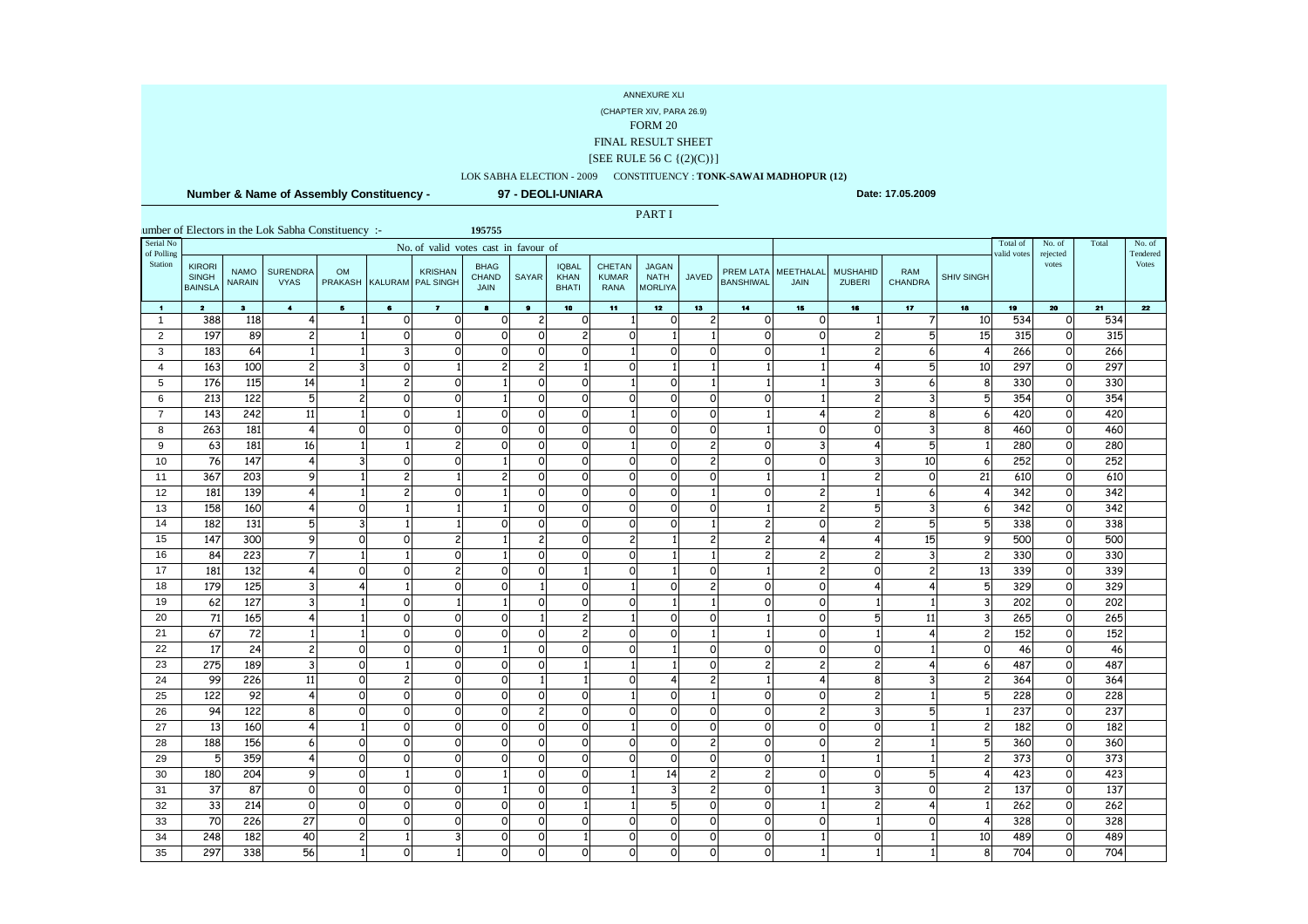(CHAPTER XIV, PARA 26.9)

# FORM 20

### FINAL RESULT SHEET

#### $[SEE$  RULE 56 C  $\{(2)(C)\}]$

## LOK SABHA ELECTION - 2009 CONSTITUENCY : **TONK-SAWAI MADHOPUR (12)**

 **Number & Name of Assembly Constituency -**

**97 - DEOLI-UNIARA**

PART I

| Serial No             |                                                 |                              | umber of Electors in the Lok Sabha Constituency :- |                |           | No. of valid votes cast in favour of        | 195755                              |                |                                             |                                |                                               |                          |                  |                                    |                                  |                              |                | Total of    | No. of            | Total            | No. of            |
|-----------------------|-------------------------------------------------|------------------------------|----------------------------------------------------|----------------|-----------|---------------------------------------------|-------------------------------------|----------------|---------------------------------------------|--------------------------------|-----------------------------------------------|--------------------------|------------------|------------------------------------|----------------------------------|------------------------------|----------------|-------------|-------------------|------------------|-------------------|
| of Polling<br>Station | <b>KIRORI</b><br><b>SINGH</b><br><b>BAINSLA</b> | <b>NAMO</b><br><b>NARAIN</b> | <b>SURENDRA</b><br><b>VYAS</b>                     | <b>OM</b>      |           | <b>KRISHAN</b><br>PRAKASH KALURAM PAL SINGH | <b>BHAG</b><br>CHAND<br><b>JAIN</b> | SAYAR          | <b>IQBAL</b><br><b>KHAN</b><br><b>BHATI</b> | CHETAN<br><b>KUMAR</b><br>RANA | <b>JAGAN</b><br><b>NATH</b><br><b>MORLIYA</b> | JAVED                    | <b>BANSHIWAL</b> | PREM LATA MEETHALAL<br><b>JAIN</b> | <b>MUSHAHID</b><br><b>ZUBERI</b> | <b>RAM</b><br><b>CHANDRA</b> | SHIV SINGH     | valid votes | rejected<br>votes |                  | Tendered<br>Votes |
| $\blacksquare$        | $\overline{\mathbf{2}}$                         | 3 <sup>7</sup>               | $\blacktriangleleft$                               | $\mathbf{5}$   | $\bullet$ | $\mathbf{7}$                                | $\bullet$                           | $\bullet$      | 10                                          | 11                             | 12                                            | 13                       | 14 <sub>1</sub>  | 15                                 | 16                               | 17                           | 18             | 19          | 20                | 21               | 22                |
| $\overline{1}$        | 388                                             | 118                          | $\overline{4}$                                     |                | O         | 0                                           | 0                                   | $\mathsf{2}$   | 0                                           |                                | $\Omega$                                      | -2                       | $\circ$          | $\Omega$                           |                                  | 7                            | 10             | 534         | $\Omega$          | 534              |                   |
| $\overline{2}$        | 197                                             | 89                           | $\overline{c}$                                     |                | $\Omega$  | $\Omega$                                    | $\Omega$                            | $\circ$        | $\overline{c}$                              | $\Omega$                       | $\mathbf{1}$                                  |                          | $\Omega$         | $\Omega$                           | $\overline{c}$                   | 5                            | 15             | 315         | $\Omega$          | 315              |                   |
| 3                     | 183                                             | 64                           | $\overline{1}$                                     |                | 3         | $\circ$                                     | $\Omega$                            | $\circ$        | $\circ$                                     |                                | $\Omega$                                      | $\circ$                  | $\circ$          |                                    | $\overline{c}$                   | 6                            | $\overline{4}$ | 266         | $\Omega$          | 266              |                   |
| 4                     | 163                                             | 100                          | $\overline{c}$                                     |                | 0         |                                             |                                     | $\overline{2}$ |                                             | $\Omega$                       | 1                                             |                          | 1                |                                    | 4                                | 5                            | 10             | 297         | $\Omega$          | 297              |                   |
| 5                     | 176                                             | 115                          | 14                                                 |                | 2         | $\circ$                                     |                                     | $\circ$        | $\circ$                                     |                                | $\Omega$                                      |                          | -1               |                                    | 3                                | 6                            | 8              | 330         | $\circ$           | 330              |                   |
| 6                     | $\overline{213}$                                | 122                          | $\overline{5}$                                     | $\overline{c}$ | $\Omega$  | $\circ$                                     | 1                                   | $\circ$        | $\circ$                                     | $\Omega$                       | $\Omega$                                      | $\circ$                  | 0                |                                    | $\overline{c}$                   | $\overline{3}$               | 5              | 354         | $\mathsf{o}$      | 354              |                   |
| $\overline{7}$        | 143                                             | 242                          | 11                                                 |                | $\Omega$  |                                             | 0                                   | $\Omega$       | $\Omega$                                    |                                | $\Omega$                                      | $\Omega$                 |                  | 4                                  | $\overline{c}$                   | 8                            | 6              | 420         | $\Omega$          | 420              |                   |
| 8                     | 263                                             | 181                          | $\overline{4}$                                     | $\Omega$       | $\Omega$  | $\circ$                                     | $\Omega$                            | $\circ$        | $\mathsf{o}$                                | $\Omega$                       | $\Omega$                                      | $\Omega$                 | 1                | $\Omega$                           | $\Omega$                         | 3                            | 8              | 460         | $\Omega$          | 460              |                   |
| 9                     | 63                                              | 181                          | 16                                                 |                |           | $\overline{\mathbf{c}}$                     | 0                                   | $\circ$        | $\circ$                                     |                                | $\Omega$                                      | $\overline{c}$           | $\circ$          | 3                                  | 4                                | 5                            | $\mathbf{1}$   | 280         | $\circ$           | 280              |                   |
| 10                    | 76                                              | 147                          | $\overline{4}$                                     | 3              | $\Omega$  | $\circ$                                     |                                     | $\Omega$       | $\circ$                                     | $\Omega$                       | $\Omega$                                      | $\overline{c}$           | $\circ$          | $\Omega$                           | 3                                | 10                           | 6              | 252         | $\Omega$          | 252              |                   |
| 11                    | 367                                             | 203                          | 9                                                  |                | 2         |                                             | $\overline{2}$                      | $\circ$        | $\circ$                                     | $\Omega$                       | $\circ$                                       | $\circ$                  | -1               |                                    | $\overline{c}$                   | $\circ$                      | 21             | 610         | $\circ$           | 610              |                   |
| 12                    | 181                                             | 139                          | 4                                                  |                | 2         | $\circ$                                     |                                     | $\circ$        | $\circ$                                     | $\circ$                        | $\circ$                                       |                          | 0                | 2                                  |                                  | 6                            |                | 342         | $\circ$           | 342              |                   |
| 13                    | 158                                             | 160                          | 4                                                  | $\Omega$       |           |                                             |                                     | $\circ$        | $\Omega$                                    | $\Omega$                       | $\Omega$                                      | $\Omega$                 |                  | 2                                  | 5                                | 3                            | 6              | 342         | $\Omega$          | 342              |                   |
| 14                    | 182                                             | 131                          | 5                                                  | 3              |           |                                             | $\Omega$                            | $\circ$        | $\circ$                                     | $\Omega$                       | $\circ$                                       |                          | $\overline{c}$   | $\circ$                            | $\overline{c}$                   | 5                            | GГ             | 338         | $\circ$           | 338              |                   |
| 15                    | 147                                             | 300                          | 9                                                  | 0              | 0         | $\overline{c}$                              |                                     | $\overline{2}$ | $\circ$                                     | $\overline{2}$                 | $\mathbf{1}$                                  | $\overline{c}$           | $\overline{c}$   | 4                                  | 4                                | 15                           | 9              | 500         | $\circ$           | 500              |                   |
| 16                    | 84                                              | 223                          | $\overline{7}$                                     |                |           | $\circ$                                     |                                     | $\Omega$       | $\circ$                                     | $\Omega$                       |                                               |                          | $\overline{c}$   | 2 <sup>1</sup>                     | $\overline{c}$                   | 3                            | $\overline{c}$ | 330         | $\circ$           | 330              |                   |
| 17                    | 181                                             | 132                          | 4                                                  | O              | 0         | $\overline{c}$                              | $\mathbf{O}$                        | $\circ$        |                                             | $\Omega$                       | $\mathbf{1}$                                  | 0                        | 1                | $\overline{2}$                     | $\circ$                          | $\overline{c}$               | 13             | 339         | $\circ$           | 339              |                   |
| 18                    | 179                                             | 125                          | 3                                                  |                |           | $\Omega$                                    | $\Omega$                            | $\mathbf{1}$   | $\Omega$                                    |                                | $\Omega$                                      | $\overline{\phantom{a}}$ | $\Omega$         | $\Omega$                           | 4                                | 4                            | 5              | 329         | $\Omega$          | 329              |                   |
| 19                    | 62                                              | 127                          | 3                                                  |                | $\Omega$  |                                             | 1                                   | $\circ$        | $\mathsf{o}$                                | $\Omega$                       | $\mathbf{1}$                                  |                          | $\Omega$         | $\Omega$                           |                                  |                              | 3              | 202         | $\Omega$          | 202              |                   |
| 20                    | $\overline{71}$                                 | 165                          | 4                                                  |                | 0         | $\circ$                                     | $\Omega$                            | 1              | $\overline{c}$                              |                                | 0                                             | $\circ$                  | -1               | $\circ$                            | 5                                | 11                           | 3              | 265         | $\circ$           | 265              |                   |
| 21                    | 67                                              | 72                           |                                                    |                | $\Omega$  | $\Omega$                                    | $\Omega$                            | $\circ$        | $\overline{c}$                              | $\Omega$                       | $\Omega$                                      |                          |                  | $\Omega$                           |                                  | 4                            | $\overline{c}$ | 152         | $\Omega$          | 152              |                   |
| 22                    | 17                                              | $\overline{24}$              | $\overline{c}$                                     | $\Omega$       | $\Omega$  | $\circ$                                     |                                     | $\circ$        | $\circ$                                     | $\Omega$                       | 1                                             | $\mathbf 0$              | $\circ$          | $\Omega$                           | $\Omega$                         |                              | $\circ$        | 46          | $\circ$           | 46               |                   |
| 23                    | 275                                             | 189                          | 3                                                  | 0              |           | $\circ$                                     | $\mathbf{O}$                        | $\circ$        |                                             |                                |                                               | $\mathbf 0$              | $\overline{c}$   | $\overline{2}$                     | $\overline{c}$                   | 4                            | 6              | 487         | $\circ$           | 487              |                   |
| 24                    | 99                                              | 226                          | 11                                                 | $\Omega$       | 2         | $\Omega$                                    | $\Omega$                            | $\mathbf{1}$   |                                             | $\Omega$                       | Δ                                             | $\overline{\phantom{a}}$ | $\mathbf{1}$     | 4                                  | 8                                | 3                            | $\overline{c}$ | 364         | $\Omega$          | 364              |                   |
| 25                    | 122                                             | 92                           | 4                                                  | $\Omega$       | $\Omega$  | $\circ$                                     | $\Omega$                            | $\circ$        | $\circ$                                     |                                | $\Omega$                                      |                          | $\Omega$         | $\Omega$                           | $\overline{c}$                   |                              | 5              | 228         | $\circ$           | 228              |                   |
| 26                    | 94                                              | 122                          | 8                                                  | $\Omega$       | $\Omega$  | $\circ$                                     | $\Omega$                            | $\overline{2}$ | $\circ$                                     | $\Omega$                       | $\Omega$                                      | $\Omega$                 | $\Omega$         | 2 <sup>1</sup>                     | 3                                | 5                            |                | 237         | $\Omega$          | 237              |                   |
| 27                    | 13                                              | 160                          | 4                                                  |                | $\Omega$  | $\circ$                                     | 0                                   | $\circ$        | $\circ$                                     |                                | $\Omega$                                      | $\circ$                  | $\circ$          | $\Omega$                           | $\Omega$                         |                              | $\overline{c}$ | 182         | $\Omega$          | 182              |                   |
| 28                    | 188                                             | 156                          | $\boldsymbol{6}$                                   | $\Omega$       | $\Omega$  | $\circ$                                     | $\Omega$                            | $\circ$        | $\circ$                                     | $\Omega$                       | $\Omega$                                      | $\overline{c}$           | $\circ$          | $\Omega$                           | $\overline{c}$                   |                              | 5              | 360         | $\circ$           | 360              |                   |
| 29                    | 5                                               | 359                          | $\overline{4}$                                     | 0              | $\Omega$  | $\circ$                                     | $\Omega$                            | $\circ$        | $\circ$                                     | $\Omega$                       | 0                                             | $\mathbf 0$              | $\circ$          |                                    |                                  |                              | $\overline{c}$ | 373         | $\Omega$          | $\overline{373}$ |                   |
| 30                    | 180                                             | 204                          | 9                                                  | $\Omega$       |           | $\Omega$                                    |                                     | $\circ$        | $\circ$                                     |                                | 14                                            | $\overline{c}$           | $\overline{c}$   | $\Omega$                           | $\Omega$                         | 5                            |                | 423         | $\Omega$          | 423              |                   |
| 31                    | 37                                              | 87                           | $\circ$                                            | $\Omega$       | 0         | $\circ$                                     | 1                                   | $\circ$        | $\circ$                                     |                                | $\overline{3}$                                | $\overline{c}$           | $\circ$          |                                    | 3                                | $\Omega$                     | $\overline{c}$ | 137         | $\circ$           | 137              |                   |
| 32                    | 33                                              | 214                          | $\circ$                                            | $\Omega$       | $\Omega$  | $\circ$                                     |                                     | $\circ$        |                                             |                                | 5                                             | $\circ$                  | $\Omega$         |                                    | $\overline{c}$                   | 4                            |                | 262         | $\Omega$          | 262              |                   |
| 33                    | 70                                              | 226                          | 27                                                 | 0              | $\Omega$  | $\circ$                                     | $\Omega$                            | $\circ$        | $\mathbf 0$                                 | $\Omega$                       | $\Omega$                                      | $\circ$                  | $\circ$          | $\Omega$                           |                                  | $\Omega$                     |                | 328         | $\circ$           | 328              |                   |
| 34                    | 248                                             | 182                          | 40                                                 | $\overline{c}$ |           | $\overline{3}$                              | $\circ$                             | $\circ$        |                                             | 0                              | $\circ$                                       | $\circ$                  | $\circ$          |                                    | $\mathbf 0$                      |                              | 10             | 489         | $\circ$           | 489              |                   |
| 35                    | 297                                             | 338                          | 56                                                 | $\mathbf{1}$   | $\circ$   | $1\overline{ }$                             | $\circ$                             | $\circ$        | $\circ$                                     | $\circ$                        | $\circ$                                       | $\circ$                  | $\circ$          |                                    |                                  |                              | 8              | 704         | $\circ$           | 704              |                   |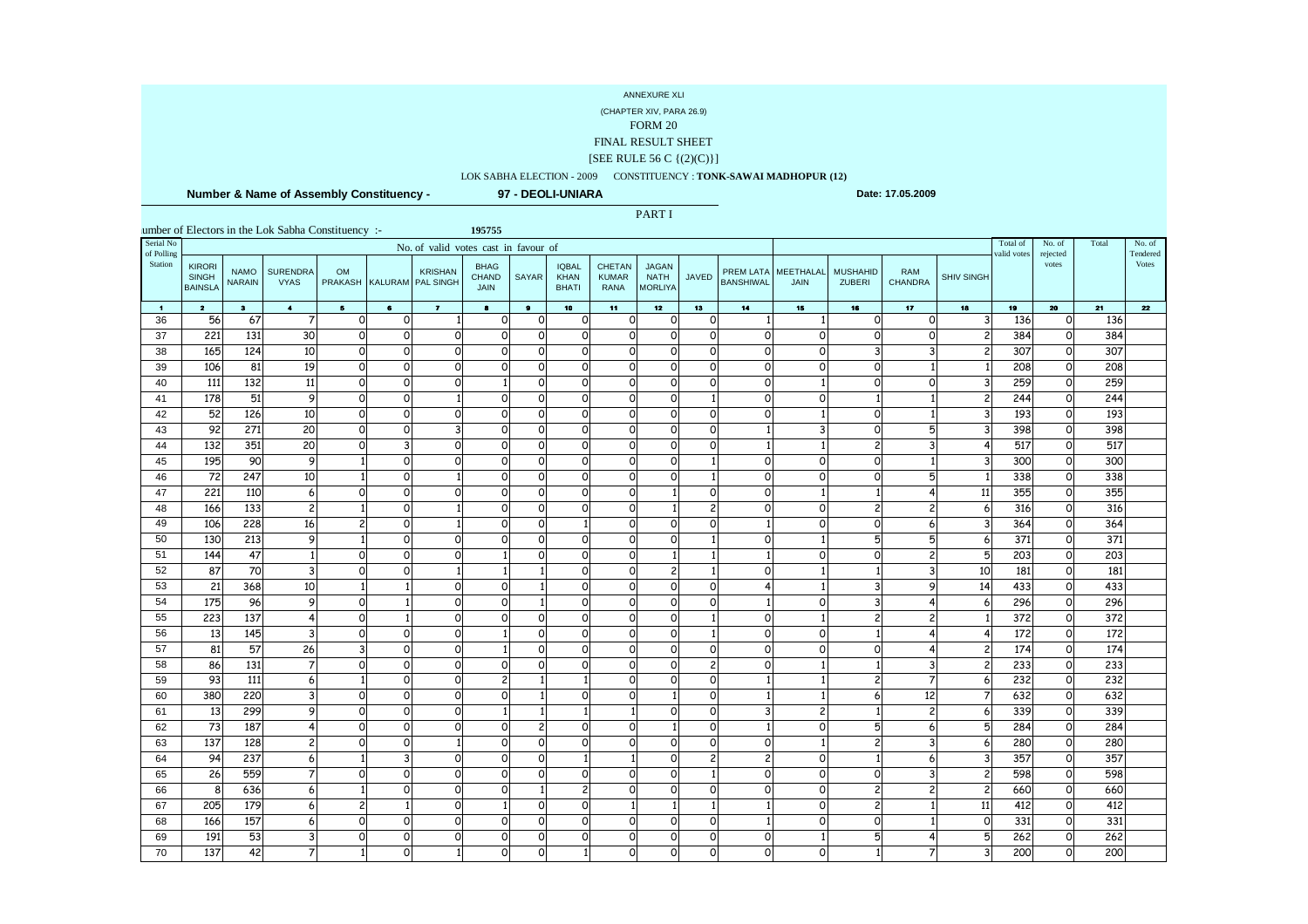(CHAPTER XIV, PARA 26.9)

### FORM 20

### FINAL RESULT SHEET

#### $[SEE$  RULE 56 C  $\{(2)(C)\}]$

### LOK SABHA ELECTION - 2009 CONSTITUENCY : **TONK-SAWAI MADHOPUR (12)**

 **Number & Name of Assembly Constituency -**

**97 - DEOLI-UNIARA**

PART I

**195755** KIRORI SINGH BAINSLA NAMO NARAIN SURENDRA VYAS OM PRAKASH KALURAM KRISHAN PAL SINGH**BHAG**  CHAND JAIN SAYAR IQBAL KHAN BHATI CHETAN KUMAR RANA JAGAN NATH MORLIYAJAVED PREM LATA MEETHALAL MUSHAHID RAM SHIV SINGH 1 2 3 4 5 6 7 8 9 10 11 12 13 14 15 16 17 18 19 20 21 22<br>2 3 4 5 6 7 8 9 10 11 12 13 14 15 16 17 18 19 20 21 No. of rejected votes umber of Electors in the Lok Sabha Constituency :-Total No. of Tendered VotesSerial No of Polling Station No. of valid votes cast in favour of $\int$  Total of  $\int$  Total of  $\int$  Total of  $\int$  Total of  $\int$  and  $\int$  valid votes 36 $\frac{56}{221}$ <u>6| 67| 7| 0| 0| 1| 0| 0| 0| 0| 0| 0| 1| 1| 0| 0| 3| 136| 0| 136</u> 37 <sup>221</sup> <sup>131</sup> <sup>30</sup><u>이 이 이 이 이 이 이 이 이 이 이 이 이 리 384 이 384</u> 38 <sup>165</sup>5 124 10 0 0 0 0 0 0 0 0 0 0 0 0 0 3 3 2 307 0 307 39 $\frac{106}{111}$  <sup>81</sup> <sup>19</sup> <sup>0</sup> <sup>0</sup> <sup>0</sup> <sup>0</sup> <sup>0</sup> <sup>0</sup> <sup>0</sup> <sup>0</sup> <sup>0</sup> <sup>0</sup> <sup>0</sup> <sup>0</sup> <sup>1</sup> <sup>1</sup> <sup>208</sup> <sup>0</sup> <sup>208</sup> 40132 2 11 0 0 0 1 0 0 0 0 0 0 0 1 0 0 3 259 0 259 41 <sup>178</sup>8 51 9 이 이 1 이 이 이 이 이 1 이 이 이 1 2 244 이 244 42 <sup>52</sup><u>2 126 10 0 0 0 0 0 0 0 0 0 0 0 1 0 1 3 193</u> 0 193 43 <sup>92</sup><u>2 271 20 0 0 3 0 0 0 0 0 0 0 1 3 0 5 3 398 0 398</u> 44 <sup>132</sup><u>2 351 20 0 3 0 0 0 0 0 0 0 0 1 1 2 3 4 517 0 517</u> 45 <sup>195</sup>5 90 9 1 이 이 이 이 이 이 이 1 이 이 이 1 3 300 0 300 46 <sup>72</sup> <sup>247</sup> <sup>10</sup> <sup>1</sup> <sup>0</sup> <sup>1</sup> <sup>0</sup> <sup>0</sup> <sup>0</sup> <sup>0</sup> <sup>0</sup> <sup>1</sup> <sup>0</sup> <sup>0</sup> <sup>0</sup> <sup>5</sup> <sup>1</sup> <sup>338</sup> <sup>0</sup> <sup>338</sup> 47221 110<br>166 133 <u>이 6| 이 이 이 이 이 이 이 이 1| 이 이 1| 1| 4| 11| 355| 이 355</u> 48 <sup>166</sup>6 133 2 1 0 1 0 0 0 0 1 2 0 0 2 2 6 316 0 316 49 <sup>106</sup>6 228 16 2 0 1 0 0 1 0 0 0 0 1 0 0 1 0 0 0 1 50 <sup>130</sup>0 213 | 9 | 1 | 0 | 0 | 0 | 0 | 0 | 0 | 0 | 1 | 0 | 1 | 5 | 5 | 6 | 371 | 0 | 371 51 <sup>144</sup>4 47 1 0 0 0 1 0 0 0 1 1 1 1 0 0 0 2 5 203 0 203 52 $\frac{87}{21}$ <u>7 70 3 0 0 1 1 1 1 0 0 2 1 0 1 1 1 3 10 181 0 181</u> 53368<br>96 8 10 1 1 1 0 0 1 0 0 0 0 0 4 1 3 9 14 433 0 433 54 <sup>175</sup>5 96 9 0 1 0 0 1 0 0 0 0 0 1 0 3 4 6 296 0 296 55 <sup>223</sup><u>3 137 4 0 1 0 0 0 0 0 0 1 0 1 2 2 1 372 0 372</u> 56 <sup>13</sup><u>3 145 3 0 0 0 1 0 0 0 0 1 0 0 1 0 1 4 4 172 0 172</u> 57 <sup>81</sup> <sup>57</sup> <sup>26</sup> <sup>3</sup> <sup>0</sup> <sup>0</sup> <sup>1</sup> <sup>0</sup> <sup>0</sup> <sup>0</sup> <sup>0</sup> <sup>0</sup> <sup>0</sup> <sup>0</sup> <sup>0</sup> <sup>4</sup> <sup>2</sup> <sup>174</sup> <sup>0</sup> <sup>174</sup> 58 <sup>86</sup>6 131 7 0 0 0 0 0 0 0 0 0 2 0 1 1 3 2 233 0 233 59 <sup>93</sup><u>3 111 6 1 0 0 2 1 1 1 0 0 0 1 1 1 2 7 6 232 0 232</u> 60 <sup>380</sup>0 220 3 0 0 0 0 1 0 0 1 0 1 0 1 1 0 1 0 12 7 632 0 632 61 <sup>13</sup><u>3 299 9 0 0 0 1 1 1 1 1 0 0 3 2 1 2 6 339 0 339</u> 62 <sup>73</sup><u>3 187 4 0 0 0 0 2 0 0 1 0 1 0 5 6 5 284 0 284</u> 63 <sup>137</sup><u>7 128 2 이 이 1 이 이 이 이 이 이 이 이 1 2 3 6 280 이 280</u> 64 <sup>94</sup><u>4 237 6 1 3 0 0 0 1 1 1 0 2 2 0 1 6 3 357 0 357</u> 65 $\frac{26}{8}$ <u>6| 559| 7| 0| 0| 0| 0| 0| 0| 0| 0| 0| 1| 0| 0| 0| 0| 3| 2| 598| 0| 598</u> 66 <sup>8</sup>8 636 6 1 0 0 0 1 2 0 0 0 0 0 0 2 2 2 660 0 660 67 <sup>205</sup> <sup>179</sup> <sup>6</sup> <sup>2</sup> <sup>1</sup> <sup>0</sup> <sup>1</sup> <sup>0</sup> <sup>0</sup> <sup>1</sup> <sup>1</sup> <sup>1</sup> <sup>1</sup> <sup>0</sup> <sup>2</sup> <sup>1</sup> <sup>11</sup> <sup>412</sup> <sup>0</sup> <sup>412</sup> 68 <sup>166</sup>6 157 6 0 0 0 0 0 0 0 0 0 0 1 0 0 1 0 331 0 331 69191 53<br>137 42 <u>3 3 0 0 0 0 0 0 0 0 0 0 0 1 5 4 5 262 0 262</u> 70 <sup>137</sup><u>7 42 7 1 이 1 이 이 1 이 이 이 이 이 이 이 1 7 3 200 이 200</u>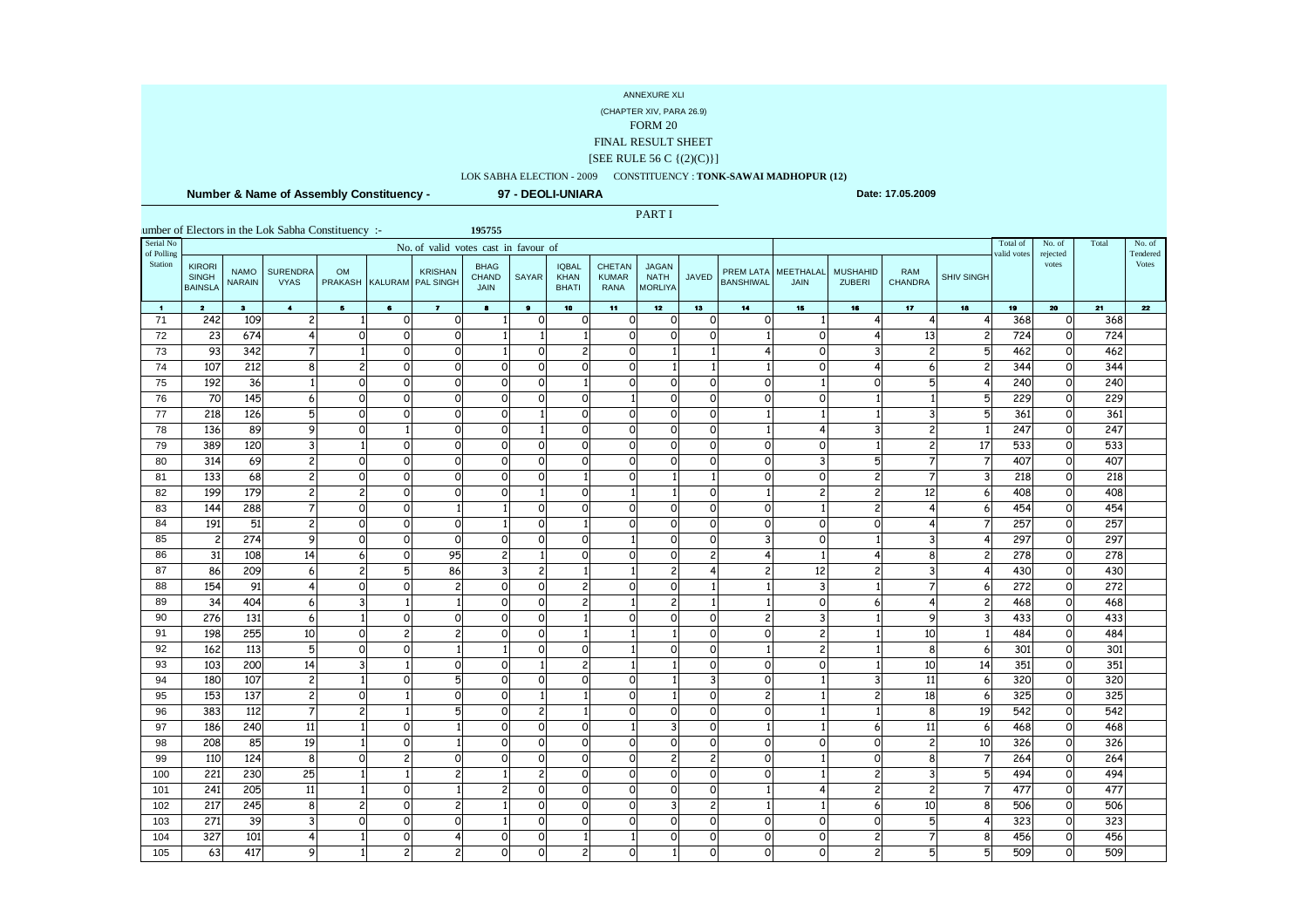(CHAPTER XIV, PARA 26.9)

### FORM 20

### FINAL RESULT SHEET

#### $[SEE$  RULE 56 C  $\{(2)(C)\}]$

#### LOK SABHA ELECTION - 2009 CONSTITUENCY : **TONK-SAWAI MADHOPUR (12)**

 **Number & Name of Assembly Constituency -**

103

104

105

<sup>271</sup> <sup>39</sup>

<sup>327</sup>

<sup>63</sup>

**97 - DEOLI-UNIARA**

**Date: 17.05.2009**

Tendered Votes

**195755** KIRORI SINGH BAINSLA NAMO NARAIN SURENDRA VYAS OM PRAKASH KALURAM KRISHAN PAL SINGH**BHAG**  CHAND JAIN SAYAR IQBAL KHAN BHATI CHETAN KUMAR RANA JAGAN NATH MORLIYAJAVED PREM LATA MEETHALAL MUSHAHID RAM SHIV SINGH 1 2 3 4 5 6 7 8 9 10 11 12 13 14 15 16 17 18 19 20 21 22<br>2 3 4 5 6 7 8 9 10 11 12 13 14 15 16 17 18 19 20 21 No. of rejected votes PART Iumber of Electors in the Lok Sabha Constituency :-Total No. of Serial No of Polling Station No. of valid votes cast in favour of $\int$  Total of  $\int$  Total of  $\int$  Total of  $\int$  Total of  $\int$  and  $\int$  valid votes 71 <sup>242</sup><u>2 109 2 1 0 0 1 0 0 1 0 0 0 0 0 1 4 4 4 4 368 0 368</u> 72 <sup>23</sup>3 674 4 0 0 0 1 1 1 1 0 0 0 1 0 1 1 1 1 0 2 724 0 724 73 <sup>93</sup>3 342 7 1 0 0 1 0 2 0 1 1 4 0 3 2 5 462 0 462 74 <sup>107</sup><u>7 212 8 2 0 0 0 0 0 0 0 1 1 1 0 4 6 2 344 0 344</u> 75 <sup>192</sup> <sup>36</sup> <sup>1</sup> <sup>0</sup> <sup>0</sup> <sup>0</sup> <sup>0</sup> <sup>0</sup> <sup>1</sup> <sup>0</sup> <sup>0</sup> <sup>0</sup> <sup>0</sup> <sup>1</sup> <sup>0</sup> <sup>5</sup> <sup>4</sup> <sup>240</sup> <sup>0</sup> <sup>240</sup> 76 <sup>70</sup><u>이 145 | 6 | 이 이 이 이 이 이 1 | 이 이 이 이 1 | 1 | 5 229 이 229</u> 77 <sup>218</sup>8 126 5 0 0 0 0 1 0 0 0 0 0 1 1 1 1 3 5 361 0 361 78 <sup>136</sup><u>6 89 9 0 1 0 0 1 0 0 0 0 0 1 4 3 2 1 247 0 247</u> 79 <sup>389</sup><u>9 120 3 1 0 0 0 0 0 0 0 0 0 0 0 0 1 2 17 533 0 533</u> 80 <sup>314</sup><u>4 69 2 0 0 0 0 0 0 0 0 0 0 0 0 3 5 7 7 407 0 407</u> 81 <sup>133</sup><u>3 68 2 0 0 0 0 0 1 0 1 1 0 0 0 2 7 3 218 0 218</u> 82 <sup>199</sup>9 179 2 2 0 0 0 1 0 1 1 0 1 2 2 2 12 6 408 0 408 83 $\frac{144}{191}$ <u>4 288 7 0 0 1 1 1 0 0 0 0 0 0 1 2 4 6 454 0 454</u> 844 191 51 2 <u>2 0 0 0 1 0 1 0 0 0 0 0 0 0 1 1 257 0 257</u> 85 <sup>2</sup><u>2 274 9 0 0 0 0 0 0 0 1 0 0 3 0 1 3 4 297 0 297</u> 86 <sup>31</sup> <sup>108</sup>8 14 6 0 95 2 1 0 0 0 2 4 1 4 8 2 278 0 278 87 <sup>86</sup>6 209 6 2 5 86 3 2 1 1 2 4 2 12 2 3 4 430 0 430 88 <sup>154</sup><u>4 91 4 0 0 2 0 0 2 0 0 1 1 3 1 7 6 272 0 272</u> 89 <sup>34</sup>4 404 6 3 1 1 0 0 2 1 2 1 1 0 6 4 2 468 0 468 90 <sup>276</sup><u>6 131 6 1 0 0 0 0 1 0 0 0 0 2 3 1 9 3 433 0 433</u> 91 <sup>198</sup>8 255 10 0 2 2 0 0 1 1 1 0 0 2 1 10 1 484 0 484 92 <sup>162</sup><u>2 113 5 0 0 1 1 1 0 0 1 0 0 1 2 1 8 6 301 0 301</u> 93 <sup>103</sup><u>3 200 14 3 1 0 0 1 2 1 1 0 0 0 1 1 10 14 351 0 351</u> 94 <sup>180</sup>0 107 2 1 0 5 0 0 0 0 1 3 0 1 3 11 6 320 0 320 95 <sup>153</sup>3 137 2 0 1 0 0 1 1 1 0 1 0 2 1 2 18 6 325 0 325 96 <sup>383</sup><u>3 112 7 2 1 5 0 2 1 0 0 0 0 1 1 1 8 19 542 0 542</u> 97 <sup>186</sup>6 240 11 1 0 1 0 0 0 1 3 0 1 1 0 1 6 11 6 468 0 468 98 <sup>208</sup>8 85 19 1 0 1 0 0 0 0 0 0 0 0 0 0 0 1 326 0 326 99 <sup>110</sup>0 124 8 0 2 0 0 0 0 0 0 2 2 0 1 0 8 7 264 0 264 100221 230<br>241 205 <u>이 25| 1| 1| 2| 1| 2| 이 이 이 이 이 1| 2| 3| 5| 494| 이 494</u> 101241 205<br>217 245 5 11 1 0 1 2 0 0 0 0 0 1 4 2 2 7 477 0 477 102 <sup>217</sup><sup>245</sup> <sup>8</sup> <sup>2</sup> <sup>0</sup> <sup>2</sup> <sup>1</sup> <sup>0</sup> <sup>0</sup> <sup>0</sup> <sup>3</sup> <sup>2</sup> <sup>1</sup> <sup>1</sup> <sup>6</sup> <sup>10</sup> <sup>8</sup> <sup>506</sup> <sup>0</sup> <sup>506</sup>

<sup>3</sup> <sup>0</sup> <sup>0</sup> <sup>0</sup> <sup>1</sup> <sup>0</sup> <sup>0</sup> <sup>0</sup> <sup>0</sup> <sup>0</sup> <sup>0</sup> <sup>0</sup> <sup>0</sup> <sup>5</sup> <sup>4</sup> <sup>323</sup> <sup>0</sup> <sup>323</sup>

7 101 4 1 0 4 0 0 1 1 0 0 0 0 2 7 8 456 0 456

<u>3 417 9 1 2 2 0 0 2 0 1 0 0 0 0 2 5 5 509 0 509</u>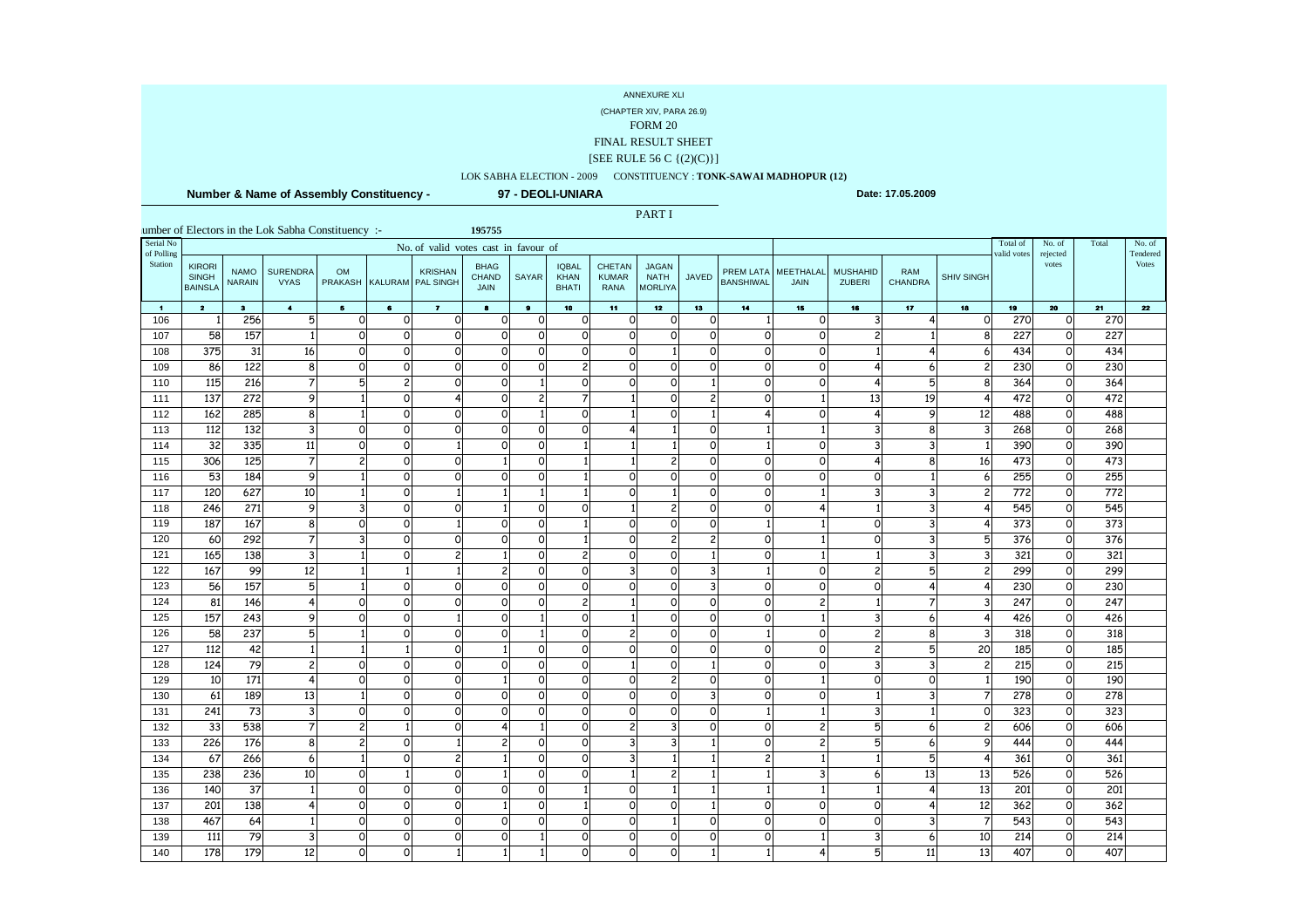(CHAPTER XIV, PARA 26.9)

# FORM 20

### FINAL RESULT SHEET

#### $[SEE$  RULE 56 C  $\{(2)(C)\}]$

## LOK SABHA ELECTION - 2009 CONSTITUENCY : **TONK-SAWAI MADHOPUR (12)**

 **Number & Name of Assembly Constituency -**

**97 - DEOLI-UNIARA**

PART I

| Serial No             |                                                 |                              |                                |                |           | No. of valid votes cast in favour of        |                              |                 |                                      |                                |                                               |                |                               |                          |                           |                              |                          | Total of         | No. of            | Total            | No. of            |
|-----------------------|-------------------------------------------------|------------------------------|--------------------------------|----------------|-----------|---------------------------------------------|------------------------------|-----------------|--------------------------------------|--------------------------------|-----------------------------------------------|----------------|-------------------------------|--------------------------|---------------------------|------------------------------|--------------------------|------------------|-------------------|------------------|-------------------|
| of Polling<br>Station | <b>KIRORI</b><br><b>SINGH</b><br><b>BAINSLA</b> | <b>NAMO</b><br><b>NARAIN</b> | <b>SURENDRA</b><br><b>VYAS</b> | <b>OM</b>      |           | <b>KRISHAN</b><br>PRAKASH KALURAM PAL SINGH | <b>BHAG</b><br>CHAND<br>JAIN | <b>SAYAR</b>    | <b>IQBAL</b><br>KHAN<br><b>BHATI</b> | CHETAN<br><b>KUMAR</b><br>RANA | <b>JAGAN</b><br><b>NATH</b><br><b>MORLIYA</b> | JAVED          | PREM LATA<br><b>BANSHIWAL</b> | MEETHALAL<br><b>JAIN</b> | <b>MUSHAHID</b><br>ZUBERI | <b>RAM</b><br><b>CHANDRA</b> | <b>SHIV SINGH</b>        | valid vote:      | rejected<br>votes |                  | Tendered<br>Votes |
| $\blacksquare$        | $\overline{\mathbf{2}}$                         | $\bullet$                    | $\blacktriangleleft$           | $\mathbf{5}$   | $\bullet$ | $\mathbf{7}$                                | $\bullet$                    | $\bullet$       | 10                                   | 11                             | 12                                            | 13             | 14                            | 15                       | 16                        | 17                           | 18                       | 19               | 20                | 21               | 22                |
| 106                   |                                                 | 256                          | 5                              | $\Omega$       | $\Omega$  | $\circ$                                     | 0                            | $\circ$         | $\mathbf 0$                          | $\Omega$                       | $\Omega$                                      | $\circ$        | -1                            | $\Omega$                 | 3                         | 4                            | $\circ$                  | 270              | $\Omega$          | 270              |                   |
| 107                   | 58                                              | 157                          |                                | $\Omega$       | $\Omega$  | $\circ$                                     | $\Omega$                     | $\circ$         | $\mathsf{o}$                         | $\Omega$                       | $\Omega$                                      | $\circ$        | $\Omega$                      | $\Omega$                 | $\overline{\phantom{a}}$  |                              | 8                        | 227              | $\Omega$          | 227              |                   |
| 108                   | 375                                             | 31                           | 16                             | 0              | $\Omega$  | $\circ$                                     | $\Omega$                     | $\circ$         | $\circ$                              | $\Omega$                       | 1                                             | $\mathbf 0$    | $\circ$                       | $\Omega$                 |                           | 4                            | 6                        | 434              | $\circ$           | 434              |                   |
| 109                   | 86                                              | 122                          | 8                              | $\Omega$       | $\Omega$  | $\circ$                                     | $\Omega$                     | $\circ$         | 2                                    | $\Omega$                       | $\Omega$                                      | $\circ$        | $\circ$                       | $\Omega$                 | 4                         | 6                            | $\overline{c}$           | 230              | $\Omega$          | 230              |                   |
| 110                   | 115                                             | 216                          | $\overline{7}$                 | 5              | 2         | $\circ$                                     | $\Omega$                     | $1\overline{ }$ | $\mathsf{o}$                         | $\Omega$                       | $\Omega$                                      |                | $\circ$                       | $\Omega$                 | 4                         | 5                            | 8                        | 364              | $\circ$           | 364              |                   |
| 111                   | 137                                             | 272                          | 9                              |                | $\Omega$  | 4                                           | 0                            | $\mathbf{z}$    |                                      |                                | $\Omega$                                      | $\overline{c}$ | $\Omega$                      |                          | 13                        | 19                           | 4                        | 472              | $\Omega$          | 472              |                   |
| 112                   | 162                                             | 285                          | 8                              |                | $\Omega$  | $\circ$                                     | <sup>o</sup>                 | $1\overline{ }$ | $\circ$                              |                                | $\Omega$                                      |                | 4                             | 0                        | 4                         | 9                            | 12                       | 488              | $\Omega$          | 488              |                   |
| 113                   | 112                                             | 132                          | 3                              | $\Omega$       | $\Omega$  | $\Omega$                                    | $\Omega$                     | $\circ$         | $\circ$                              |                                |                                               | $\Omega$       |                               |                          | 3                         | 8                            | 3                        | 268              | $\Omega$          | 268              |                   |
| 114                   | 32                                              | 335                          | 11                             | $\Omega$       | $\Omega$  |                                             | $\Omega$                     | $\circ$         |                                      |                                |                                               | $\circ$        | -1                            | $\Omega$                 | 3                         | 3                            |                          | 390              | $\circ$           | 390              |                   |
| 115                   | 306                                             | 125                          | $\overline{7}$                 | $\overline{c}$ | $\Omega$  | $\circ$                                     |                              | $\circ$         |                                      |                                | 21                                            | $\circ$        | $\circ$                       | $\Omega$                 | 4                         | 8                            | 16                       | 473              | $\circ$           | 473              |                   |
| 116                   | 53                                              | 184                          | 9                              |                | $\circ$   | $\circ$                                     | $\Omega$                     | $\circ$         |                                      | 0                              | $\mathbf 0$                                   | $\circ$        | $\circ$                       | $\circ$                  | $\circ$                   |                              | 6                        | 255              | $\circ$           | 255              |                   |
| 117                   | 120                                             | 627                          | 10                             |                | $\Omega$  |                                             |                              | 1               |                                      | $\Omega$                       |                                               | $\Omega$       | $\Omega$                      |                          | 3                         | 3                            | $\overline{\phantom{a}}$ | $\overline{772}$ | $\Omega$          | 772              |                   |
| 118                   | 246                                             | 271                          | 9                              | २              | $\Omega$  | $\circ$                                     |                              | $\circ$         | $\Omega$                             |                                | $\overline{2}$                                | $\Omega$       | $\Omega$                      | 4                        |                           | 3                            | $\overline{A}$           | 545              | $\Omega$          | 545              |                   |
| 119                   | 187                                             | 167                          | 8                              | $\Omega$       | $\Omega$  | 1                                           | $\Omega$                     | $\circ$         |                                      | $\Omega$                       | $\Omega$                                      | $\mathbf 0$    | $\mathbf{1}$                  |                          | $\Omega$                  | 3                            | 4                        | 373              | $\Omega$          | $\overline{373}$ |                   |
| 120                   | 60                                              | 292                          | $\overline{7}$                 |                | $\Omega$  | $\circ$                                     | 0                            | $\circ$         |                                      | $\Omega$                       | $\overline{2}$                                | $\overline{c}$ | $\circ$                       |                          | $\mathbf 0$               | 3                            | 5                        | 376              | $\circ$           | 376              |                   |
| 121                   | 165                                             | 138                          | 3                              |                | $\Omega$  | 2 <sup>1</sup>                              | 1                            | $\Omega$        | $\overline{c}$                       | $\Omega$                       | $\Omega$                                      |                | $\Omega$                      |                          |                           | 3                            | 3                        | 321              | $\Omega$          | 321              |                   |
| 122                   | 167                                             | $\overline{99}$              | 12                             |                |           | -1                                          |                              | $\circ$         | $\circ$                              | २                              | $\Omega$                                      | $\overline{3}$ | -1                            | $\Omega$                 | $\overline{c}$            | 5                            | $\overline{c}$           | 299              | $\circ$           | 299              |                   |
| 123                   | 56                                              | 157                          | 5                              |                | $\Omega$  | $\circ$                                     | $\Omega$                     | $\circ$         | $\circ$                              | $\Omega$                       | $\Omega$                                      | 3              | 0                             | $\Omega$                 | $\Omega$                  | 4                            |                          | 230              | $\Omega$          | 230              |                   |
| 124                   | 81                                              | 146                          | 4                              | $\Omega$       | $\Omega$  | $\circ$                                     | $\Omega$                     | $\circ$         | $\overline{c}$                       |                                | $\Omega$                                      | $\circ$        | $\circ$                       | 2 <sup>1</sup>           |                           | $\overline{7}$               | 3                        | 247              | $\circ$           | 247              |                   |
| 125                   | 157                                             | 243                          | 9                              | $\Omega$       | $\Omega$  | 1                                           | $\Omega$                     | $1\overline{ }$ | $\circ$                              |                                | $\Omega$                                      | $\circ$        | $\Omega$                      |                          | 3                         | 6                            | $\overline{4}$           | 426              | $\circ$           | 426              |                   |
| 126                   | 58                                              | 237                          | 5                              |                | $\Omega$  | $\circ$                                     | ∩                            | $\mathbf{1}$    | $\circ$                              |                                | $\Omega$                                      | $\mathbf 0$    | -1                            | $\Omega$                 | $\overline{c}$            | 8                            | 3                        | 318              | $\circ$           | 318              |                   |
| 127                   | 112                                             | 42                           |                                |                |           | $\circ$                                     | 1                            | $\circ$         | $\mathsf{o}$                         | $\Omega$                       | $\circ$                                       | $\mathbf 0$    | $\circ$                       | $\Omega$                 | $\overline{c}$            | 5                            | 20                       | 185              | $\circ$           | 185              |                   |
| 128                   | 124                                             | $\overline{79}$              | $\overline{c}$                 | $\Omega$       | 0         | $\circ$                                     | 0                            | $\circ$         | $\circ$                              |                                | $\Omega$                                      |                | 0                             | $\circ$                  | 3                         | 3                            | $\overline{c}$           | 215              | $\Omega$          | $\overline{215}$ |                   |
| 129                   | 10                                              | $\overline{171}$             | 4                              | $\Omega$       | $\Omega$  | $\Omega$                                    |                              | $\Omega$        | $\Omega$                             | $\Omega$                       | $\overline{2}$                                | $\Omega$       | $\Omega$                      |                          | $\Omega$                  | $\Omega$                     |                          | 190              | $\Omega$          | 190              |                   |
| 130                   | 61                                              | 189                          | 13                             |                | 0         | $\circ$                                     | $\Omega$                     | $\circ$         | $\circ$                              | $\Omega$                       | 0                                             | 3              | $\circ$                       | $\Omega$                 |                           | 3                            | 7                        | $\overline{278}$ | $\Omega$          | 278              |                   |
| 131                   | 241                                             | 73                           | $\overline{3}$                 | $\Omega$       | 0         | $\circ$                                     | 0                            | $\circ$         | $\circ$                              | $\Omega$                       | $\Omega$                                      | $\circ$        | -1                            |                          | 3                         |                              | O                        | 323              | $\circ$           | 323              |                   |
| 132                   | 33                                              | 538                          | $\overline{7}$                 | $\overline{c}$ |           | $\Omega$                                    | 4                            | $1\overline{ }$ | $\circ$                              | $\overline{\phantom{a}}$       | 3                                             | $\Omega$       | $\Omega$                      | $\overline{2}$           | 5                         | 6                            | $\overline{c}$           | 606              | $\Omega$          | 606              |                   |
| 133                   | 226                                             | 176                          | 8                              | $\overline{c}$ | $\Omega$  | 1                                           | 2                            | $\circ$         | $\mathsf{o}$                         | २                              | $\overline{\mathbf{3}}$                       |                | $\circ$                       | $\overline{c}$           | 5                         | 6                            | 9                        | 444              | $\Omega$          | 444              |                   |
| 134                   | 67                                              | 266                          | 6                              |                | $\Omega$  | $\overline{c}$                              |                              | $\circ$         | $\circ$                              |                                |                                               |                | $\overline{c}$                |                          |                           | 5                            |                          | 361              | $\Omega$          | 361              |                   |
| 135                   | 238                                             | 236                          | 10                             | $\Omega$       |           | $\circ$                                     |                              | $\circ$         | $\circ$                              |                                | $\overline{2}$                                |                |                               | 3                        | 6                         | 13                           | 13                       | 526              | $\circ$           | 526              |                   |
| 136                   | 140                                             | $\overline{37}$              |                                | $\Omega$       | 0         | $\circ$                                     |                              | $\circ$         |                                      | $\Omega$                       |                                               |                | -1                            |                          |                           | 4                            | 13                       | 201              | $\Omega$          | 201              |                   |
| 137                   | 201                                             | 138                          | 4                              | Ω              | $\Omega$  | $\circ$                                     |                              | $\circ$         |                                      | $\Omega$                       | $\Omega$                                      |                | $\circ$                       | $\Omega$                 | $\Omega$                  | 4                            | 12                       | 362              | $\Omega$          | 362              |                   |
| 138                   | 467                                             | 64                           |                                | $\Omega$       | $\Omega$  | $\circ$                                     | $\Omega$                     | $\circ$         | $\circ$                              | $\Omega$                       |                                               | $\Omega$       | $\circ$                       | $\circ$                  | $\circ$                   | 3                            | $\overline{7}$           | 543              | $\circ$           | 543              |                   |
| 139                   | 111                                             | $\overline{79}$              | 3                              | $\Omega$       | $\Omega$  | $\circ$                                     | 0                            | 1               | $\circ$                              | $\circ$                        | $\Omega$                                      | $\circ$        | 0                             |                          | 3                         | 6                            | 10                       | 214              | $\circ$           | $\overline{214}$ |                   |
| 140                   | 178                                             | 179                          | 12                             | $\Omega$       | 0         |                                             |                              | 1               | 0                                    | $\Omega$                       | $\Omega$                                      |                |                               |                          | 5                         | 11                           | 13                       | 407              | $\Omega$          | 407              |                   |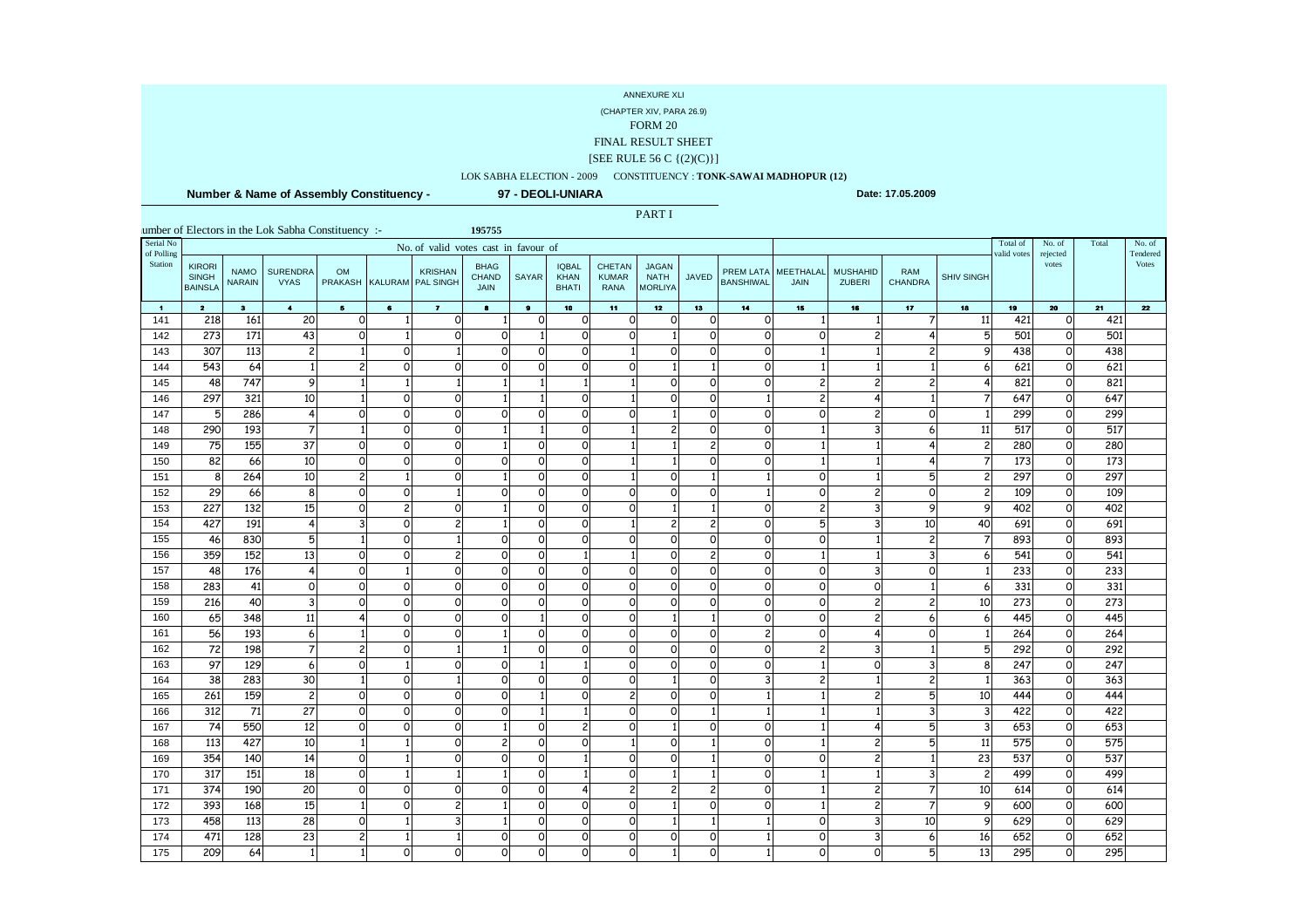(CHAPTER XIV, PARA 26.9)

# FORM 20

### FINAL RESULT SHEET

#### $[SEE$  RULE 56 C  $\{(2)(C)\}]$

## LOK SABHA ELECTION - 2009 CONSTITUENCY : **TONK-SAWAI MADHOPUR (12)**

 **Number & Name of Assembly Constituency -**

**97 - DEOLI-UNIARA**

| Serial No      |                                                 |                              | umber of Electors in the Lok Sabha Constituency :- |                             |                | No. of valid votes cast in favour of       |                                     |              |                                             |                                |                                               |                 |                               |                                 |                                  |                              |                   | Total of    | No. of              | Total | No. of                   |
|----------------|-------------------------------------------------|------------------------------|----------------------------------------------------|-----------------------------|----------------|--------------------------------------------|-------------------------------------|--------------|---------------------------------------------|--------------------------------|-----------------------------------------------|-----------------|-------------------------------|---------------------------------|----------------------------------|------------------------------|-------------------|-------------|---------------------|-------|--------------------------|
| of Polling     |                                                 |                              |                                                    |                             |                |                                            |                                     |              |                                             |                                |                                               |                 |                               |                                 |                                  |                              |                   | valid votes | rejected            |       | Tendered<br><b>Votes</b> |
| Station        | <b>KIRORI</b><br><b>SINGH</b><br><b>BAINSLA</b> | <b>NAMO</b><br><b>NARAIN</b> | <b>SURENDRA</b><br><b>VYAS</b>                     | <b>OM</b><br><b>PRAKASH</b> |                | <b>KRISHAN</b><br><b>KALURAM</b> PAL SINGH | <b>BHAG</b><br><b>CHAND</b><br>JAIN | SAYAR        | <b>IQBAL</b><br><b>KHAN</b><br><b>BHATI</b> | CHETAN<br><b>KUMAR</b><br>RANA | <b>JAGAN</b><br><b>NATH</b><br><b>MORLIYA</b> | JAVED           | PREM LATA<br><b>BANSHIWAL</b> | <b>MEETHALAL</b><br><b>JAIN</b> | <b>MUSHAHID</b><br><b>ZUBERI</b> | <b>RAM</b><br><b>CHANDRA</b> | <b>SHIV SINGH</b> |             | votes               |       |                          |
| $\blacksquare$ | $\overline{\mathbf{2}}$                         | $\bullet$                    | $\blacktriangleleft$                               | $\mathbf{5}$                | $\bullet$      | $\mathbf{z}$                               | $\bullet$                           | $\bullet$    | 10                                          | 11 <sub>1</sub>                | 12 <sub>2</sub>                               | 13 <sub>1</sub> | 14 <sub>1</sub>               | 15                              | 16                               | 17 <sub>2</sub>              | 18                | 19          | 20                  | 21    | 22                       |
| 141            | 218                                             | 161                          | 20                                                 | $\Omega$                    |                | 0                                          |                                     | $\circ$      | $\Omega$                                    | $\Omega$                       | $\Omega$                                      | 0               | $\Omega$                      |                                 |                                  |                              | 11                | 421         | 0                   | 421   |                          |
| 142            | 273                                             | 171                          | 43                                                 | $\Omega$                    |                | $\Omega$                                   | $\Omega$                            |              | $\mathbf 0$                                 | $\Omega$                       | $\mathbf{1}$                                  | $\Omega$        | $\circ$                       | $\circ$                         | $\overline{2}$                   | 4                            | 5                 | 501         | $\mathsf{o}$        | 501   |                          |
| 143            | 307                                             | $\overline{113}$             | $\overline{c}$                                     |                             | $\Omega$       |                                            | $\Omega$                            | $\Omega$     | $\circ$                                     |                                | $\Omega$                                      | $\Omega$        | $\circ$                       | 1                               |                                  |                              | 9                 | 438         | $\circ$             | 438   |                          |
| 144            | 543                                             | 64                           | $1\overline{ }$                                    | 2                           | $\circ$        | $\Omega$                                   | $\Omega$                            | $\circ$      | $\Omega$                                    | $\Omega$                       | 1                                             |                 | $\Omega$                      | $\mathbf{1}$                    | 1                                |                              | $6 \overline{6}$  | 621         | $\circ$             | 621   |                          |
| 145            | 48                                              | 747                          | 9                                                  |                             |                | $\mathbf{1}$                               |                                     |              |                                             |                                | $\circ$                                       | 0               | $\Omega$                      | $\overline{c}$                  | $\mathbf{2}$                     | $\overline{\phantom{0}}$     | $\overline{4}$    | 821         | $\circ$             | 821   |                          |
| 146            | 297                                             | 321                          | 10                                                 |                             | $\circ$        | $\Omega$                                   |                                     |              | $\Omega$                                    |                                | $\Omega$                                      | $\Omega$        |                               | $\overline{c}$                  | 4 <sup>1</sup>                   |                              | $\overline{7}$    | 647         | $\mathsf{o}$        | 647   |                          |
| 147            | 5                                               | 286                          | 4                                                  | 0                           | $\circ$        | $\circ$                                    | $\circ$                             | $\circ$      | $\circ$                                     | $\Omega$                       | $\mathbf{1}$                                  | 0               | $\circ$                       | $\circ$                         | $\mathbf{2}$                     | 0                            | $\mathbf{1}$      | 299         | $\circ$             | 299   |                          |
| 148            | 290                                             | 193                          | 7                                                  |                             | O              | $\circ$                                    |                                     |              | $\Omega$                                    |                                | 2                                             | $\Omega$        | $\Omega$                      |                                 | $\overline{\mathbf{3}}$          | 6                            | 11                | 517         | $\mathsf{o}$        | 517   |                          |
| 149            | $\overline{75}$                                 | 155                          | 37                                                 | $\Omega$                    | $\Omega$       | $\Omega$                                   | 1                                   | $\circ$      | $\mathbf 0$                                 |                                | $\mathbf{1}$                                  | 2               | $\Omega$                      | $\mathbf{1}$                    | 1                                |                              | $\overline{c}$    | 280         | $\mathsf{o}$        | 280   |                          |
| 150            | 82                                              | 66                           | 10                                                 | $\Omega$                    | $\circ$        | $\Omega$                                   | $\Omega$                            | $\circ$      | $\mathbf 0$                                 |                                |                                               | $\Omega$        | $\Omega$                      | $\mathbf{1}$                    | 1                                |                              | $\overline{7}$    | 173         | $\mathsf{o}$        | 173   |                          |
| 151            | 8                                               | 264                          | 10                                                 | $\overline{c}$              | 1              | $\circ$                                    | 1                                   | $\circ$      | $\circ$                                     |                                | $\circ$                                       |                 | $\mathbf{1}$                  | $\circ$                         | 1                                | 5                            | $\overline{c}$    | 297         | $\mathsf{O}\xspace$ | 297   |                          |
| 152            | 29                                              | 66                           | 8                                                  | $\Omega$                    | $\circ$        |                                            | $\Omega$                            | $\circ$      | $\Omega$                                    | $\Omega$                       | O                                             | 0               |                               | $\mathsf{o}$                    | $\mathbf{2}$                     | $\Omega$                     | $\overline{c}$    | 109         | $\circ$             | 109   |                          |
| 153            | 227                                             | 132                          | 15                                                 | $\Omega$                    | 2 <sup>1</sup> | $\Omega$                                   |                                     | $\Omega$     | $\Omega$                                    | $\Omega$                       |                                               |                 | $\Omega$                      | $\overline{c}$                  | $\overline{3}$                   | 9                            | 9                 | 402         | $\mathsf{o}$        | 402   |                          |
| 154            | 427                                             | 191                          | $\overline{4}$                                     | 3                           | $\circ$        | $\overline{c}$                             | 1                                   | $\circ$      | $\Omega$                                    |                                | 2 <sup>1</sup>                                | 2               | $\Omega$                      | 5                               | $\overline{3}$                   | 10                           | 40                | 691         | $\mathsf{o}$        | 691   |                          |
| 155            | 46                                              | 830                          | 5                                                  |                             | $\mathsf{o}$   |                                            | $\Omega$                            | $\circ$      | $\circ$                                     | $\circ$                        | $\circ$                                       | 0               | $\circ$                       | $\circ$                         | 1                                | $\overline{c}$               | 7                 | 893         | $\circ$             | 893   |                          |
| 156            | 359                                             | 152                          | 13                                                 | $\Omega$                    | $\circ$        | $\overline{c}$                             | $\circ$                             | $\circ$      |                                             |                                | $\circ$                                       | $\overline{c}$  | $\circ$                       | $\mathbf{1}$                    | 1                                | $\overline{3}$               | 6                 | 541         | $\circ$             | 541   |                          |
| 157            | $\overline{48}$                                 | 176                          | 4                                                  | $\Omega$                    |                | $\Omega$                                   | $\Omega$                            | $\Omega$     | $\Omega$                                    | $\Omega$                       | $\Omega$                                      | $\Omega$        | $\Omega$                      | $\mathsf{o}$                    | $\overline{3}$                   | $\Omega$                     | $\mathbf{1}$      | 233         | $\circ$             | 233   |                          |
| 158            | 283                                             | 41                           | $\Omega$                                           | $\Omega$                    | $\Omega$       | $\Omega$                                   | $\Omega$                            | $\Omega$     | $\Omega$                                    | $\Omega$                       | $\Omega$                                      | $\Omega$        | $\Omega$                      | $\mathsf{o}$                    | $\Omega$                         |                              | 6                 | 331         | $\mathsf{o}$        | 331   |                          |
| 159            | 216                                             | 40                           | $\overline{3}$                                     | 0                           | $\circ$        | $\circ$                                    | $\Omega$                            | $\circ$      | $\circ$                                     | $\circ$                        | $\circ$                                       | 0               | $\circ$                       | $\circ$                         | $\mathbf{2}$                     | $\overline{c}$               | 10                | 273         | $\circ$             | 273   |                          |
| 160            | 65                                              | 348                          | 11                                                 |                             | $\mathbf 0$    | $\circ$                                    | $\Omega$                            |              | $\Omega$                                    | $\Omega$                       | 1                                             |                 | $\circ$                       | $\circ$                         | $\overline{2}$                   | 6                            | 6                 | 445         | $\circ$             | 445   |                          |
| 161            | 56                                              | 193                          | 6                                                  |                             | $\circ$        | $\circ$                                    | 1                                   | $\circ$      | $\mathbf 0$                                 | $\Omega$                       | $\circ$                                       | $\Omega$        | $\overline{c}$                | $\mathsf{o}$                    | $\overline{4}$                   | $\Omega$                     | $\mathbf{1}$      | 264         | $\mathsf{o}$        | 264   |                          |
| 162            | 72                                              | 198                          | $\overline{7}$                                     |                             | $\Omega$       |                                            |                                     | $\Omega$     | $\Omega$                                    | $\Omega$                       | $\Omega$                                      | $\Omega$        | $\Omega$                      | $\overline{c}$                  | $\overline{3}$                   |                              | 5                 | 292         | $\Omega$            | 292   |                          |
| 163            | 97                                              | 129                          | 6                                                  | $\Omega$                    |                | $\Omega$                                   | $\Omega$                            |              |                                             | $\Omega$                       | 0                                             | 0               | $\circ$                       | 1                               | $\circ$                          |                              | 8                 | 247         | $\mathsf{o}$        | 247   |                          |
| 164            | 38                                              | 283                          | 30                                                 |                             | $\circ$        |                                            | $\Omega$                            | $\Omega$     | $\circ$                                     | $\Omega$                       | $\mathbf{1}$                                  | 0               | 3                             | $\overline{c}$                  | $\mathbf{1}$                     | $\overline{\phantom{0}}$     | $\mathbf{1}$      | 363         | $\circ$             | 363   |                          |
| 165            | 261                                             | 159                          | $\overline{c}$                                     | $\Omega$                    | $\circ$        | $\circ$                                    | $\Omega$                            |              | $\Omega$                                    | $\overline{c}$                 | $\circ$                                       | $\Omega$        |                               | 1                               | $\overline{2}$                   | 5                            | 10                | 444         | $\circ$             | 444   |                          |
| 166            | 312                                             | 71                           | 27                                                 | $\Omega$                    | $\circ$        | $\circ$                                    | $\circ$                             |              |                                             | $\circ$                        | $\circ$                                       |                 |                               | 1                               | 1                                | 3                            | $\overline{3}$    | 422         | $\circ$             | 422   |                          |
| 167            | 74                                              | 550                          | 12                                                 | $\Omega$                    | $\mathsf{o}$   | 0                                          |                                     | $\circ$      | 2                                           | $\Omega$                       | $\mathbf{1}$                                  | $\Omega$        | $\circ$                       | 1                               | $\overline{4}$                   | 5                            | 3                 | 653         | $\circ$             | 653   |                          |
| 168            | 113                                             | 427                          | 10                                                 |                             |                | $\Omega$                                   | $\overline{2}$                      | $\circ$      | $\Omega$                                    |                                | $\Omega$                                      |                 | $\mathbf 0$                   | $\mathbf{1}$                    | 2                                | 5                            | 11                | 575         | $\mathsf{o}$        | 575   |                          |
| 169            | 354                                             | 140                          | 14                                                 | $\Omega$                    |                | $\Omega$                                   | $\Omega$                            | $\circ$      |                                             | $\Omega$                       | $\Omega$                                      |                 | $\Omega$                      | $\circ$                         | $\overline{2}$                   |                              | 23                | 537         | $\circ$             | 537   |                          |
| 170            | 317                                             | 151                          | 18                                                 | $\Omega$                    |                | $\overline{1}$                             | $\mathbf{1}$                        | $\circ$      |                                             | $\circ$                        | $\mathbf{1}$                                  |                 | $\circ$                       | $\mathbf{1}$                    | 1                                | $\overline{3}$               | $\overline{c}$    | 499         | $\circ$             | 499   |                          |
| 171            | 374                                             | 190                          | $\overline{20}$                                    | $\Omega$                    | $\circ$        | $\Omega$                                   | $\Omega$                            | $\Omega$     |                                             | $\overline{c}$                 | $\overline{c}$                                |                 | $\Omega$                      | $\mathbf{1}$                    | $\mathbf{2}$                     | $\overline{7}$               | 10                | 614         | $\circ$             | 614   |                          |
| 172            | 393                                             | 168                          | 15                                                 |                             | $\Omega$       | $\overline{c}$                             |                                     | $\mathsf{o}$ | $\Omega$                                    | $\Omega$                       |                                               | $\Omega$        | $\Omega$                      | 1                               | $\overline{2}$                   |                              | 9                 | 600         | $\mathsf{o}$        | 600   |                          |
| 173            | 458                                             | 113                          | $\overline{28}$                                    | $\Omega$                    |                | 3                                          |                                     | $\circ$      | $\Omega$                                    | $\Omega$                       |                                               |                 |                               | $\mathsf{o}$                    | $\overline{3}$                   | 10                           | 9                 | 629         | $\mathsf{o}$        | 629   |                          |
| 174            | 471                                             | 128                          | 23                                                 |                             |                |                                            | O                                   | $\circ$      | 0                                           | O                              | O                                             | 0               |                               | $\circ$                         | 3 <sup>1</sup>                   | 6                            | 16                | 652         | 0                   | 652   |                          |
| 175            | 209                                             | 64                           | $1\overline{ }$                                    | 11                          | $\circ$        | $\circ$                                    | $\circ$                             | $\circ$      | $\circ$                                     | $\circ$                        | $\mathbf{1}$                                  | $\Omega$        |                               | $\circ$                         | $\circ$                          | 5                            | 13                | 295         | $\circ$             | 295   |                          |
|                |                                                 |                              |                                                    |                             |                |                                            |                                     |              |                                             |                                |                                               |                 |                               |                                 |                                  |                              |                   |             |                     |       |                          |

<u>9 64 1 1 1 0 0 0 0 0 0 0 1 0 1 0 0 0 0 5 13 295 0 295</u>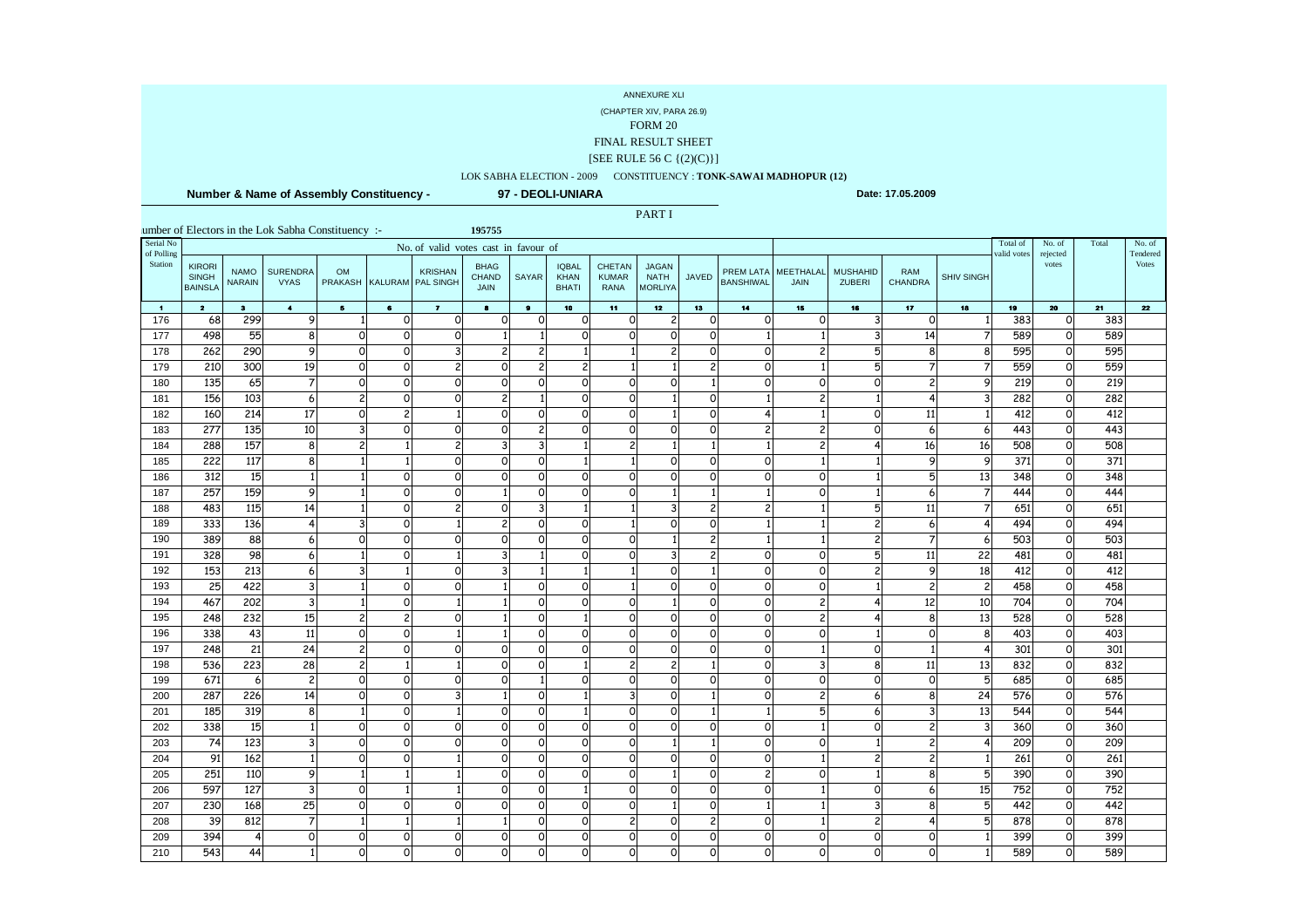(CHAPTER XIV, PARA 26.9)

# FORM 20

### FINAL RESULT SHEET

#### $[SEE$  RULE 56 C  $\{(2)(C)\}]$

## LOK SABHA ELECTION - 2009 CONSTITUENCY : **TONK-SAWAI MADHOPUR (12)**

 **Number & Name of Assembly Constituency -**

**97 - DEOLI-UNIARA**

|                         |                                                 |                              | umber of Electors in the Lok Sabha Constituency :- |                          |                |                                      | 195755                                     |                |                                             |                                |                                               |          |                               |                          |                                  |                              |                   |                         |                     |                  |                    |
|-------------------------|-------------------------------------------------|------------------------------|----------------------------------------------------|--------------------------|----------------|--------------------------------------|--------------------------------------------|----------------|---------------------------------------------|--------------------------------|-----------------------------------------------|----------|-------------------------------|--------------------------|----------------------------------|------------------------------|-------------------|-------------------------|---------------------|------------------|--------------------|
| Serial No<br>of Polling |                                                 |                              |                                                    |                          |                | No. of valid votes cast in favour of |                                            |                |                                             |                                |                                               |          |                               |                          |                                  |                              |                   | Total of<br>valid votes | No. of<br>rejected  | Total            | No. of<br>Tendered |
| Station                 | <b>KIRORI</b><br><b>SINGH</b><br><b>BAINSLA</b> | <b>NAMO</b><br><b>NARAIN</b> | <b>SURENDRA</b><br><b>VYAS</b>                     | <b>OM</b><br>PRAKASH     |                | <b>KRISHAN</b><br>KALURAM PAL SINGH  | <b>BHAG</b><br><b>CHAND</b><br><b>JAIN</b> | SAYAR          | <b>IQBAL</b><br><b>KHAN</b><br><b>BHATI</b> | CHETAN<br><b>KUMAR</b><br>RANA | <b>JAGAN</b><br><b>NATH</b><br><b>MORLIYA</b> | JAVED    | PREM LATA<br><b>BANSHIWAL</b> | <b>MEETHALAL</b><br>JAIN | <b>MUSHAHID</b><br><b>ZUBERI</b> | <b>RAM</b><br><b>CHANDRA</b> | <b>SHIV SINGH</b> |                         | votes               |                  | <b>Votes</b>       |
| $\blacksquare$          | $\overline{\mathbf{2}}$                         | 3 <sup>7</sup>               | $\blacktriangleleft$                               | $\mathbf{5}$             | $\bullet$      | $\mathbf{7}$                         | $\bullet$                                  | $\bullet$      | 10 <sub>10</sub>                            | 11 <sub>1</sub>                | 12 <sub>2</sub>                               | 13       | 14 <sub>1</sub>               | 15                       | 16 <sub>1</sub>                  | 17 <sub>2</sub>              | 18                | 19                      | 20                  | 21               | 22                 |
| 176                     | 68                                              | 299                          | 9                                                  |                          | $\circ$        | $\circ$                              | $\circ$                                    | $\circ$        | $\circ$                                     | $\mathbf 0$                    | 2                                             | $\Omega$ | $\circ$                       | $\circ$                  | $\overline{3}$                   | $\Omega$                     |                   | 383                     | 0                   | 383              |                    |
| 177                     | 498                                             | 55                           | 8                                                  | $\Omega$                 | $\Omega$       | $\Omega$                             |                                            |                | $\Omega$                                    | $\Omega$                       | $\Omega$                                      | $\Omega$ |                               | $\mathbf{1}$             | $\overline{3}$                   | 14                           |                   | 589                     | $\circ$             | 589              |                    |
| 178                     | 262                                             | 290                          | $\overline{9}$                                     | $\Omega$                 | $\circ$        | 3                                    | $\overline{2}$                             | $\overline{c}$ |                                             |                                | $\overline{2}$                                | $\Omega$ | $\Omega$                      | $\overline{c}$           | 5 <sub>5</sub>                   | 8                            | 8                 | 595                     | $\circ$             | 595              |                    |
| 179                     | 210                                             | 300                          | 19                                                 | $\Omega$                 | $\circ$        | $\overline{c}$                       | $\Omega$                                   | $\overline{c}$ | $\overline{c}$                              |                                |                                               | 2        | $\Omega$                      | $\mathbf{1}$             | 5 <sub>5</sub>                   | $\overline{7}$               | $\overline{7}$    | 559                     | $\circ$             | 559              |                    |
| 180                     | 135                                             | 65                           | $\overline{7}$                                     | $\Omega$                 | $\circ$        | $\circ$                              | $\Omega$                                   | $\circ$        | $\Omega$                                    | $\Omega$                       | $\Omega$                                      |          | $\Omega$                      | $\circ$                  | $\circ$                          | $\overline{c}$               | 9                 | 219                     | $\mathsf{O}\xspace$ | 219              |                    |
| 181                     | 156                                             | 103                          | 6                                                  | $\overline{2}$           | $\circ$        | $\mathsf{o}$                         | $\overline{c}$                             |                | $\circ$                                     | $\overline{0}$                 | 1                                             | 0        |                               | $\overline{c}$           | $1\overline{ }$                  | $\overline{4}$               | $\overline{3}$    | 282                     | $\circ$             | 282              |                    |
| 182                     | 160                                             | 214                          | 17                                                 | $\Omega$                 | $2 \mid$       |                                      | $\Omega$                                   | $\circ$        | $\circ$                                     | $\circ$                        |                                               | $\Omega$ | 4                             | $\mathbf{1}$             | $\circ$                          | 11                           |                   | 412                     | $\circ$             | 412              |                    |
| 183                     | 277                                             | $\frac{135}{2}$              | 10                                                 |                          | $\circ$        | $\Omega$                             | $\Omega$                                   | $\overline{c}$ | $\Omega$                                    | $\Omega$                       | $\circ$                                       | $\Omega$ | $\overline{c}$                | $\overline{c}$           | $\circ$                          | 6                            | 6                 | 443                     | $\circ$             | 443              |                    |
| 184                     | 288                                             | 157                          | 8                                                  |                          |                | $\overline{c}$                       | 3                                          | 3              |                                             | $\overline{c}$                 | $\mathbf{1}$                                  |          |                               | $\overline{c}$           | 4                                | 16                           | 16                | 508                     | $\mathsf{o}$        | 508              |                    |
| 185                     | 222                                             | 117                          | 8                                                  |                          |                | $\circ$                              | $\Omega$                                   | $\circ$        |                                             |                                | $\circ$                                       | $\Omega$ | $\circ$                       | $\mathbf{1}$             | $\mathbf{1}$                     | 9                            | 9                 | 371                     | $\mathsf{O}\xspace$ | $\overline{371}$ |                    |
| 186                     | 312                                             | 15                           | $1\overline{ }$                                    |                          | $\circ$        | $\Omega$                             | $\Omega$                                   | $\circ$        | $\circ$                                     | $\Omega$                       | O                                             | 0        | $\Omega$                      | $\mathsf{o}$             | 1                                | 5                            | 13                | 348                     | $\circ$             | 348              |                    |
| 187                     | 257                                             | 159                          | 9                                                  |                          | $\Omega$       | $\Omega$                             |                                            | $\Omega$       | $\Omega$                                    | $\Omega$                       | $\mathbf{1}$                                  |          |                               | $\mathsf{o}$             |                                  | 6                            | $\overline{7}$    | 444                     | $\mathsf{o}$        | 444              |                    |
| 188                     | 483                                             | 115                          | 14                                                 |                          | $\mathsf{o}$   | $\overline{c}$                       | $\circ$                                    | 3              |                                             |                                | $\overline{\mathbf{3}}$                       | 2        | $\overline{c}$                | 1                        | 5 <sub>5</sub>                   | 11                           | $\overline{7}$    | 651                     | $\circ$             | 651              |                    |
| 189                     | 333                                             | 136                          | 4                                                  |                          | $\mathsf{o}$   |                                      | $\mathsf{2}$                               | $\circ$        | $\circ$                                     |                                | $\circ$                                       | $\Omega$ |                               | 1                        | $\overline{2}$                   | 6                            | $\overline{4}$    | 494                     | $\circ$             | 494              |                    |
| 190                     | 389                                             | 88                           | 6                                                  | $\Omega$                 | $\circ$        | $\circ$                              | $\circ$                                    | $\circ$        | $\mathbf 0$                                 | $\circ$                        | $\mathbf{1}$                                  |          |                               | $\mathbf{1}$             | $\overline{2}$                   | $\overline{7}$               | 6                 | 503                     | $\mathsf{o}$        | 503              |                    |
| 191                     | 328                                             | 98                           | 6                                                  |                          | $\mathsf{o}$   |                                      | 3                                          |                | $\circ$                                     | $\Omega$                       | 3                                             |          | $\circ$                       | $\circ$                  | 5 <sub>5</sub>                   | 11                           | 22                | 481                     | $\circ$             | 481              |                    |
| 192                     | 153                                             | 213                          | 6                                                  |                          |                | $\Omega$                             | $\overline{\mathbf{3}}$                    |                |                                             |                                | <sub>0</sub>                                  |          | $\Omega$                      | $\mathsf{o}$             | $\overline{2}$                   | 9                            | 18                | 412                     | $\circ$             | 412              |                    |
| 193                     | 25                                              | 422                          | $\overline{3}$                                     |                          | $\circ$        | $\Omega$                             | $\mathbf{1}$                               | $\circ$        | $\Omega$                                    |                                | O                                             | 0        | $\Omega$                      | $\mathsf{o}$             | $\mathbf{1}$                     | $\overline{c}$               | $\overline{c}$    | 458                     | $\circ$             | 458              |                    |
| 194                     | 467                                             | 202                          | 3                                                  |                          | $\mathbf 0$    |                                      |                                            | $\circ$        | $\Omega$                                    | $\Omega$                       | 1                                             | $\Omega$ | $\Omega$                      | $\overline{c}$           | 4                                | 12                           | 10                | 704                     | $\circ$             | 704              |                    |
| 195                     | 248                                             | 232                          | 15                                                 | $\overline{\phantom{a}}$ | $\overline{2}$ | $\Omega$                             |                                            | $\circ$        |                                             | $\Omega$                       | O                                             | 0        | $\mathbf 0$                   | $\overline{c}$           | 4                                | 8                            | 13                | 528                     | $\mathsf{o}$        | 528              |                    |
| 196                     | 338                                             | 43                           | 11                                                 | $\Omega$                 | $\Omega$       |                                      |                                            | $\Omega$       | $\Omega$                                    | $\Omega$                       | $\Omega$                                      | $\Omega$ | $\Omega$                      | $\mathsf{o}$             |                                  | $\Omega$                     | 8                 | 403                     | $\mathsf{o}$        | 403              |                    |
| 197                     | 248                                             | 21                           | 24                                                 | $\overline{c}$           | $\circ$        | $\Omega$                             | $\Omega$                                   | $\circ$        | $\Omega$                                    | $\Omega$                       | $\circ$                                       | 0        | $\circ$                       | $\mathbf{1}$             | $\circ$                          |                              | $\overline{4}$    | 301                     | $\circ$             | 301              |                    |
| 198                     | 536                                             | 223                          | 28                                                 |                          |                |                                      | $\Omega$                                   | $\circ$        |                                             | $\overline{c}$                 | $\mathbf{2}$                                  |          | $\circ$                       | 3                        | 8                                | 11                           | 13                | 832                     | $\circ$             | 832              |                    |
| 199                     | 671                                             | 6                            | $\overline{c}$                                     | $\circ$                  | $\circ$        | $\circ$                              | $\circ$                                    | $\mathbf{1}$   | $\circ$                                     | $\circ$                        | $\circ$                                       | $\circ$  | $\circ$                       | $\circ$                  | $\circ$                          | $\circ$                      | 5                 | 685                     | $\circ$             | 685              |                    |
| 200                     | 287                                             | 226                          | 14                                                 | $\Omega$                 | $\circ$        | 3                                    | 1                                          | 0              |                                             | $\overline{3}$                 | O                                             |          | $\circ$                       | $\overline{c}$           | 6                                | 8                            | 24                | 576                     | $\circ$             | 576              |                    |
| 201                     | 185                                             | 319                          | 8                                                  |                          | $\circ$        |                                      | $\Omega$                                   | $\circ$        |                                             | $\Omega$                       | $\Omega$                                      |          |                               | 5                        | $6 \mid$                         | 3                            | 13                | 544                     | $\circ$             | 544              |                    |
| 202                     | 338                                             | 15                           | $\mathbf{1}$                                       | $\Omega$                 | $\circ$        | $\circ$                              | $\circ$                                    | $\circ$        | $\circ$                                     | O                              | O                                             | 0        | $\mathbf 0$                   | $\mathbf{1}$             | $\circ$                          | $\overline{c}$               | $\overline{3}$    | 360                     | $\mathsf{o}$        | 360              |                    |
| 203                     | 74                                              | 123                          | 3                                                  | $\Omega$                 | O              | 0                                    | $\Omega$                                   | $\circ$        | $\circ$                                     | $\circ$                        | 1                                             |          | $\circ$                       | $\circ$                  | 1                                | $\overline{c}$               | $\overline{4}$    | 209                     | $\circ$             | 209              |                    |
| 204                     | 91                                              | 162                          | 1                                                  | $\Omega$                 | $\circ$        | 1                                    | $\Omega$                                   | $\circ$        | $\mathbf 0$                                 | $\circ$                        | $\circ$                                       | $\Omega$ | $\circ$                       | $\mathbf{1}$             | $\overline{2}$                   | $\overline{c}$               | $\mathbf{1}$      | $\overline{261}$        | $\mathsf{o}$        | 261              |                    |
| 205                     | 251                                             | 110                          | 9                                                  |                          |                |                                      | $\Omega$                                   | $\Omega$       | $\Omega$                                    | $\Omega$                       | $\mathbf{1}$                                  | $\Omega$ | $\overline{c}$                | $\Omega$                 | $\mathbf{1}$                     | 8                            | 5                 | 390                     | $\mathsf{o}$        | 390              |                    |
| 206                     | 597                                             | 127                          | $\overline{3}$                                     | $\Omega$                 |                |                                      | $\Omega$                                   | $\circ$        |                                             | $\Omega$                       | $\circ$                                       | $\Omega$ | $\Omega$                      | $\mathbf{1}$             | $\circ$                          | $6 \overline{6}$             | 15                | 752                     | $\circ$             | 752              |                    |
| 207                     | 230                                             | 168                          | 25                                                 | $\Omega$                 | $\mathsf{o}$   | $\Omega$                             | $\Omega$                                   | $\circ$        | $\circ$                                     | $\Omega$                       | $\mathbf{1}$                                  | $\Omega$ |                               | $\mathbf{1}$             | $\overline{3}$                   | 8                            | 5                 | 442                     | $\circ$             | 442              |                    |
| 208                     | 39                                              | 812                          | $\overline{7}$                                     |                          |                |                                      |                                            | $\mathsf{o}$   | $\mathbf 0$                                 | $\overline{c}$                 | $\circ$                                       |          | $\circ$                       | $\mathbf{1}$             | $\overline{2}$                   |                              | 5                 | 878                     | $\mathsf{o}$        | 878              |                    |
| 209                     | 394                                             | 4                            | $\circ$                                            | 0                        | O              | 0                                    | $\circ$                                    | $\circ$        | 0                                           | $\circ$                        | $\circ$                                       | $\Omega$ | $\circ$                       | $\circ$                  | $\circ$                          | $\Omega$                     |                   | 399                     | 0                   | 399              |                    |
| 210                     | 543                                             | 44                           | 1                                                  | $\Omega$                 | $\circ$        | $\circ$                              | $\Omega$                                   | $\mathsf{o}$   | $\mathbf 0$                                 | $\circ$                        | O                                             | $\Omega$ | $\Omega$                      | $\circ$                  | $\circ$                          | $\Omega$                     |                   | 589                     | $\mathsf{o}$        | 589              |                    |
|                         |                                                 |                              |                                                    |                          |                |                                      |                                            |                |                                             |                                |                                               |          |                               |                          |                                  |                              |                   |                         |                     |                  |                    |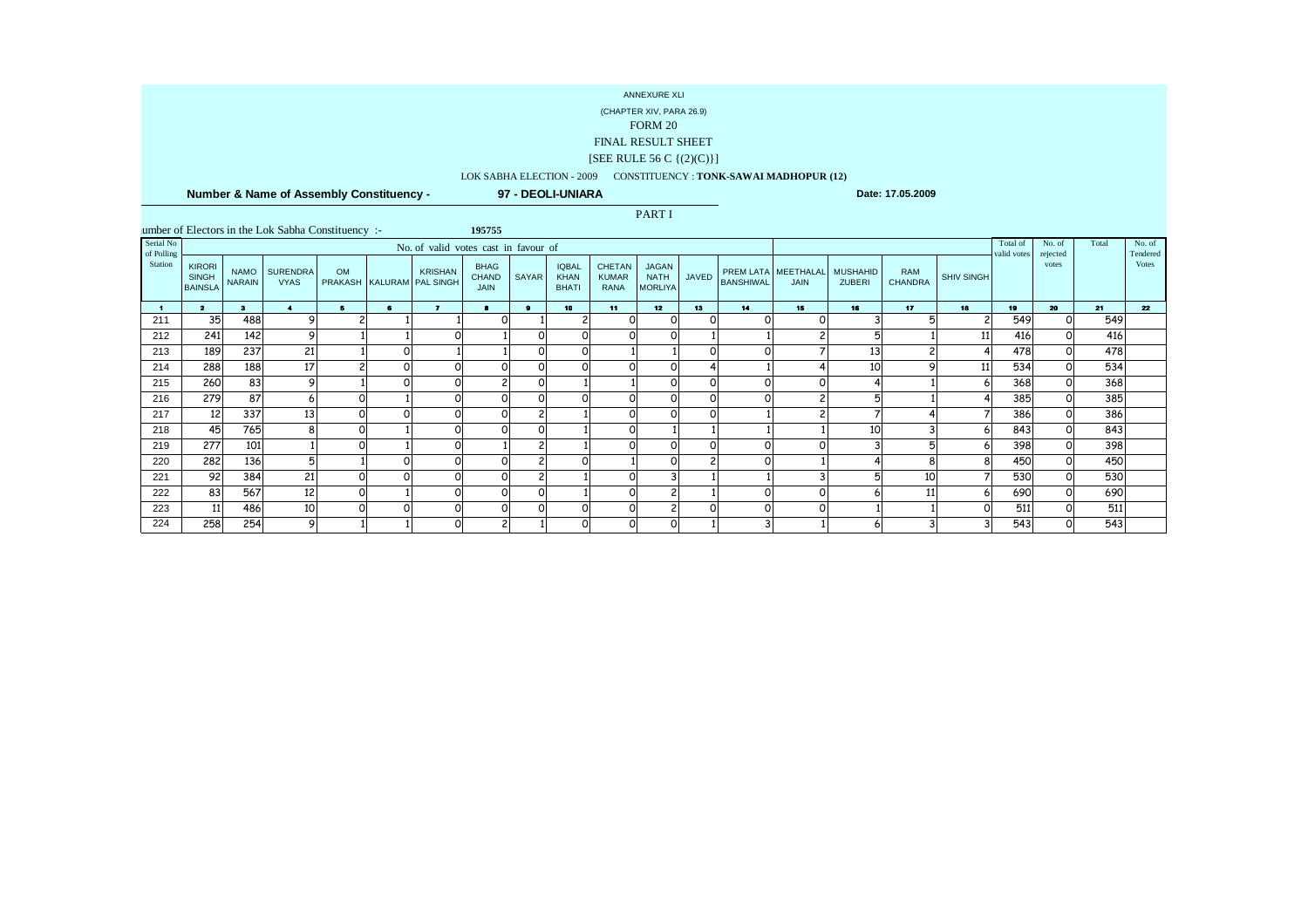(CHAPTER XIV, PARA 26.9)

## FORM 20

### FINAL RESULT SHEET

#### $[SEE$  RULE 56 C  $\{(2)(C)\}]$

## LOK SABHA ELECTION - 2009 CONSTITUENCY : **TONK-SAWAI MADHOPUR (12)**

<u>2 384 21 0 0 0 0 2 1 0 3 1 1 3 5 10 7 530 0 530</u>

3 567 12 0 1 0 0 0 1 0 2 1 0 0 0 1 6 11 6 690 0 690

8 254 9 1 1 0 2 1 0 0 0 1 3 1 6 3 3 543 0 543

<u>6 10 0 0 0 0 0 0 0 0 2 0 0 0 1 1 0 511 0 511</u>

Total No. of Tendered Votes

222

223

224

 $\begin{array}{c} 83 \\ 11 \end{array}$ 

<sup>258</sup>

486<br>254

|                         |                                                 |               | Number & Name of Assembly Constituency -         |    |                                             |                                            |                | 97 - DEOLI-UNIARA                           |                                       |                                        |       |                  |                                    |                           | Date: 17.05.2009             |            |                         |                   |       |              |
|-------------------------|-------------------------------------------------|---------------|--------------------------------------------------|----|---------------------------------------------|--------------------------------------------|----------------|---------------------------------------------|---------------------------------------|----------------------------------------|-------|------------------|------------------------------------|---------------------------|------------------------------|------------|-------------------------|-------------------|-------|--------------|
|                         |                                                 |               |                                                  |    |                                             |                                            |                |                                             |                                       | PART I                                 |       |                  |                                    |                           |                              |            |                         |                   |       |              |
|                         |                                                 |               | umber of Electors in the Lok Sabha Constituency: |    |                                             | 195755                                     |                |                                             |                                       |                                        |       |                  |                                    |                           |                              |            |                         |                   |       |              |
| Serial No<br>of Polling |                                                 |               |                                                  |    | No. of valid votes cast in favour of        |                                            |                |                                             |                                       |                                        |       |                  |                                    |                           |                              |            | Total of<br>valid votes | No. of            | Total | No.<br>Tende |
| Station                 | <b>KIRORI</b><br><b>SINGH</b><br><b>BAINSLA</b> | <b>NARAIN</b> | NAMO SURENDRA<br><b>VYAS</b>                     | OM | <b>KRISHAN</b><br>PRAKASH KALURAM PAL SINGH | <b>BHAG</b><br><b>CHAND</b><br><b>JAIN</b> | SAYAR          | <b>IQBAL</b><br><b>KHAN</b><br><b>BHATI</b> | CHETAN<br><b>KUMAR</b><br><b>RANA</b> | JAGAN<br><b>NATH</b><br><b>MORLIYA</b> | JAVED | <b>BANSHIWAL</b> | PREM LATA MEETHALAL<br><b>JAIN</b> | <b>MUSHAHID</b><br>ZUBERI | <b>RAM</b><br><b>CHANDRA</b> | SHIV SINGH |                         | rejected<br>votes |       | Vot          |
|                         | $\overline{\mathbf{2}}$                         |               |                                                  |    | 7                                           |                                            |                | 10                                          | 11                                    | 12 <sup>7</sup>                        | 13    | 14               | 15                                 | 16                        | 17                           | 18         | 19                      | 20                | 21    | 22           |
| 211                     | 35                                              | 488           |                                                  |    |                                             |                                            |                |                                             |                                       |                                        |       |                  |                                    |                           |                              |            | 549                     |                   | 549   |              |
| 212                     | 241                                             | 142           |                                                  |    |                                             |                                            |                |                                             |                                       |                                        |       |                  |                                    |                           |                              | 11         | 416                     |                   | 416   |              |
| 213                     | 189                                             | 237           | 21                                               |    |                                             |                                            |                |                                             |                                       |                                        |       |                  |                                    | 13                        |                              |            | 478                     |                   | 478   |              |
| 214                     | 288                                             | 188           | 17                                               |    |                                             |                                            |                |                                             |                                       |                                        |       |                  |                                    | 1C                        |                              | 11         | 534                     |                   | 534   |              |
| 215                     | 260                                             | 83            | Q                                                |    |                                             |                                            |                |                                             |                                       |                                        |       |                  |                                    |                           |                              | 61         | 368                     |                   | 368   |              |
| 216                     | 279                                             | 87            | ы                                                |    |                                             |                                            |                |                                             |                                       |                                        |       |                  |                                    |                           |                              |            | 385                     |                   | 385   |              |
| 217                     | 12                                              | 337           | 13                                               |    |                                             |                                            |                |                                             |                                       |                                        |       |                  |                                    |                           |                              |            | 386                     |                   | 386   |              |
| 218                     | 45                                              | 765           | 8                                                |    |                                             |                                            |                |                                             |                                       |                                        |       |                  |                                    | 10                        |                              | 61         | 843                     |                   | 843   |              |
| 219                     | 277                                             | 101           |                                                  |    |                                             |                                            |                |                                             |                                       |                                        |       |                  |                                    |                           |                              | 61         | 398                     |                   | 398   |              |
| 220                     | 282                                             | 136           | 5                                                |    |                                             |                                            |                |                                             |                                       |                                        |       |                  |                                    |                           |                              | 8          | 450                     |                   | 450   |              |
| 221                     | 92                                              | 384           | 21                                               | ΟI | 01                                          | $\Omega$                                   | $\overline{c}$ |                                             | O.                                    | 3                                      |       |                  |                                    | 5                         | 10                           |            | 530                     |                   | 530   |              |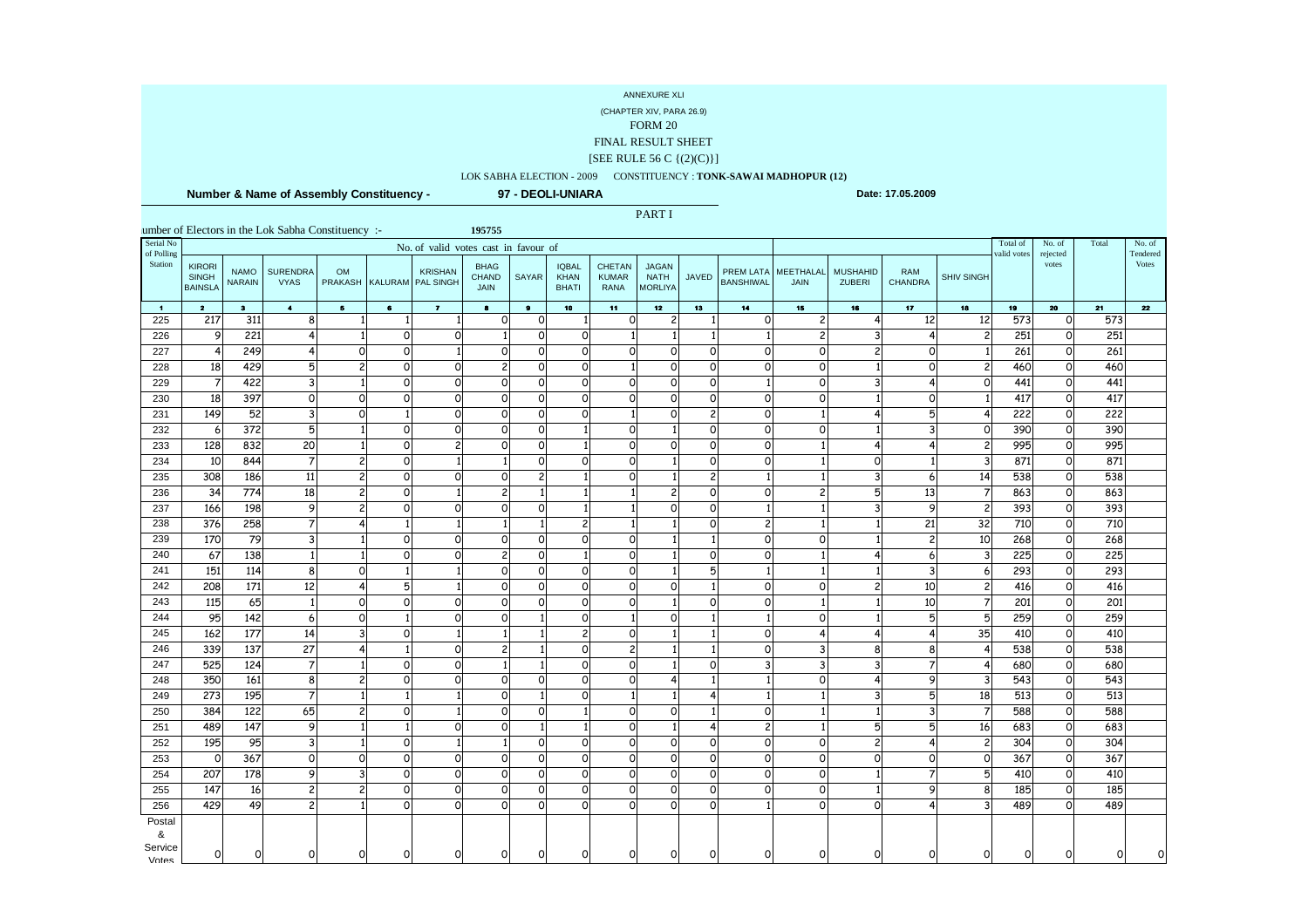(CHAPTER XIV, PARA 26.9)

# FORM 20

### FINAL RESULT SHEET

#### $[SEE$  RULE 56 C  $\{(2)(C)\}]$

## LOK SABHA ELECTION - 2009 CONSTITUENCY : **TONK-SAWAI MADHOPUR (12)**

 **Number & Name of Assembly Constituency -**

 Service Votes

**97 - DEOLI-UNIARA**

**Date: 17.05.2009**

|                       |                                                 |                              | umber of Electors in the Lok Sabha Constituency :- |                      |              |                                            | 195755                                     |                |                                             |                                | <b>PARTI</b>                                  |                |                               |                                 |                                  |                              |                   |                         |                     |       |                          |
|-----------------------|-------------------------------------------------|------------------------------|----------------------------------------------------|----------------------|--------------|--------------------------------------------|--------------------------------------------|----------------|---------------------------------------------|--------------------------------|-----------------------------------------------|----------------|-------------------------------|---------------------------------|----------------------------------|------------------------------|-------------------|-------------------------|---------------------|-------|--------------------------|
| Serial No             |                                                 |                              |                                                    |                      |              | No. of valid votes cast in favour of       |                                            |                |                                             |                                |                                               |                |                               |                                 |                                  |                              |                   | Total of<br>valid votes | No. of              | Total | No. of                   |
| of Polling<br>Station | <b>KIRORI</b><br><b>SINGH</b><br><b>BAINSLA</b> | <b>NAMO</b><br><b>NARAIN</b> | <b>SURENDRA</b><br><b>VYAS</b>                     | <b>OM</b><br>PRAKASH |              | <b>KRISHAN</b><br><b>KALURAM</b> PAL SINGH | <b>BHAG</b><br><b>CHAND</b><br><b>JAIN</b> | SAYAR          | <b>IQBAL</b><br><b>KHAN</b><br><b>BHATI</b> | CHETAN<br><b>KUMAR</b><br>RANA | <b>JAGAN</b><br><b>NATH</b><br><b>MORLIYA</b> | JAVED          | PREM LATA<br><b>BANSHIWAL</b> | <b>MEETHALAL</b><br><b>JAIN</b> | <b>MUSHAHID</b><br><b>ZUBERI</b> | <b>RAM</b><br><b>CHANDRA</b> | <b>SHIV SINGH</b> |                         | rejected<br>votes   |       | Tendered<br><b>Votes</b> |
| $\blacksquare$        | $\overline{\mathbf{2}}$                         | 3 <sup>7</sup>               | $\blacktriangleleft$                               | $\mathbf{5}$         | $\bullet$    | $\mathbf{7}$                               | $\bullet$                                  | $\bullet$      | 10 <sub>10</sub>                            | 11 <sub>1</sub>                | 12 <sub>2</sub>                               | 13             | 14                            | 15                              | 16 <sub>1</sub>                  | 17 <sub>2</sub>              | 18                | 19                      | 20                  | 21    | 22                       |
| 225                   | 217                                             | 311                          | 8                                                  |                      |              |                                            | $\Omega$                                   | $\circ$        |                                             | $\circ$                        | 2                                             |                | $\Omega$                      | $\overline{c}$                  | 4                                | 12                           | 12                | 573                     | 0                   | 573   |                          |
| 226                   | 9                                               | 221                          | 4                                                  |                      | $\Omega$     | $\Omega$                                   |                                            | $\circ$        | $\circ$                                     |                                | 1                                             |                |                               | $\overline{c}$                  | $\overline{\mathbf{3}}$          |                              | $\overline{c}$    | 251                     | $\circ$             | 251   |                          |
| 227                   | $\overline{4}$                                  | 249                          | $\overline{4}$                                     | $\Omega$             | $\circ$      |                                            | $\Omega$                                   | $\circ$        | $\circ$                                     | $\circ$                        | $\circ$                                       | $\Omega$       | $\circ$                       | $\mathsf{o}$                    | $\overline{2}$                   | $\Omega$                     | $\mathbf{1}$      | 261                     | $\circ$             | 261   |                          |
| 228                   | 18                                              | 429                          | 5 <sup>1</sup>                                     |                      | $\circ$      | $\mathsf{O}$                               | $\overline{2}$                             | $\mathsf{o}$   | $\mathbf 0$                                 |                                | O                                             | 0              | $\circ$                       | $\circ$                         | 1                                | $\circ$                      | $\overline{c}$    | 460                     | $\circ$             | 460   |                          |
| 229                   | $\overline{7}$                                  | 422                          | $\overline{3}$                                     |                      | $\Omega$     | $\Omega$                                   | $\Omega$                                   | $\circ$        | $\circ$                                     | $\Omega$                       | $\Omega$                                      | $\Omega$       |                               | $\mathsf{o}$                    | $\overline{\mathbf{3}}$          | $\boldsymbol{4}$             | $\Omega$          | 441                     | $\circ$             | 441   |                          |
| 230                   | 18                                              | 397                          | $\circ$                                            | $\Omega$             | $\Omega$     | $\Omega$                                   | $\Omega$                                   | $\circ$        | $\Omega$                                    | $\Omega$                       | $\circ$                                       | $\Omega$       | $\Omega$                      | $\mathsf{o}$                    | 1                                | $\Omega$                     |                   | 417                     | $\circ$             | 417   |                          |
| 231                   | 149                                             | 52                           | $\overline{3}$                                     | $\Omega$             |              | $\Omega$                                   | $\Omega$                                   | $\circ$        | $\Omega$                                    |                                | <sub>0</sub>                                  | 2              | $\Omega$                      | $\mathbf{1}$                    | 4                                | 5                            | $\overline{4}$    | 222                     | $\circ$             | 222   |                          |
| 232                   | 6                                               | 372                          | 5                                                  |                      | $\circ$      | $\circ$                                    | $\circ$                                    | $\circ$        |                                             | $\circ$                        | $\mathbf{1}$                                  | $\Omega$       | $\circ$                       | $\circ$                         | $\mathbf{1}$                     | 3                            | $\circ$           | 390                     | $\circ$             | 390   |                          |
| 233                   | 128                                             | 832                          | 20                                                 |                      | $\circ$      | $\overline{c}$                             | $\circ$                                    | $\circ$        |                                             | $\circ$                        | $\circ$                                       | 0              | $\mathbf 0$                   | $\mathbf{1}$                    | 4 <sup>1</sup>                   |                              | 2                 | 995                     | $\mathsf{O}\xspace$ | 995   |                          |
| 234                   | 10                                              | 844                          | $\overline{7}$                                     | $\overline{2}$       | $\circ$      |                                            | 1                                          | $\circ$        | $\Omega$                                    | $\circ$                        | $\mathbf{1}$                                  | $\Omega$       | $\circ$                       | $\mathbf{1}$                    | $\circ$                          |                              | $\mathbf{3}$      | 871                     | $\circ$             | 871   |                          |
| 235                   | 308                                             | 186                          | 11                                                 | $\overline{2}$       | $\circ$      | $\circ$                                    | $\circ$                                    | $\overline{c}$ |                                             | $\Omega$                       | 1                                             | $\overline{c}$ |                               | 1                               | $\overline{3}$                   | 6                            | 14                | 538                     | $\circ$             | 538   |                          |
| 236                   | 34                                              | 774                          | 18                                                 |                      | $\circ$      |                                            | $\overline{2}$                             |                |                                             |                                | 2                                             | $\Omega$       | $\Omega$                      | $\overline{c}$                  | 5 <sup>1</sup>                   | 13                           | $\overline{7}$    | 863                     | $\circ$             | 863   |                          |
| 237                   | 166                                             | 198                          | 9                                                  | 2                    | $\Omega$     | $\Omega$                                   | $\Omega$                                   | $\circ$        |                                             |                                | $\Omega$                                      | $\Omega$       |                               | $\mathbf{1}$                    | $\overline{3}$                   | 9                            | $\overline{2}$    | 393                     | $\mathsf{o}$        | 393   |                          |
| 238                   | 376                                             | 258                          | $\overline{7}$                                     |                      |              |                                            | 1                                          |                | $\overline{c}$                              |                                |                                               | 0              | $\overline{c}$                | 1                               | 1                                | $\overline{21}$              | 32                | 710                     | $\circ$             | 710   |                          |
| 239                   | 170                                             | 79                           | $\overline{3}$                                     |                      | $\circ$      | $\Omega$                                   | $\Omega$                                   | $\circ$        | $\circ$                                     | $\circ$                        | $\mathbf{1}$                                  |                | $\Omega$                      | $\circ$                         | 1                                | $\overline{c}$               | 10                | 268                     | $\circ$             | 268   |                          |
| 240                   | 67                                              | 138                          | $1\vert$                                           |                      | $\mathbf 0$  | 0                                          | $\mathsf{2}$                               | $\circ$        |                                             | $\circ$                        | 1                                             | $\Omega$       | $\Omega$                      | 1                               | 4                                | 6                            | 3                 | 225                     | $\circ$             | 225   |                          |
| 241                   | 151                                             | 114                          | 8                                                  | $\Omega$             | 1            | $\mathbf{1}$                               | $\Omega$                                   | $\circ$        | $\Omega$                                    | $\Omega$                       | 1                                             | 5              | $\mathbf{1}$                  | $\mathbf{1}$                    | 1                                | $\overline{3}$               | 6                 | 293                     | $\circ$             | 293   |                          |
| 242                   | 208                                             | 171                          | 12                                                 |                      | 5            |                                            | $\Omega$                                   | $\circ$        | $\Omega$                                    | $\Omega$                       | O                                             |                | $\Omega$                      | $\mathsf{o}$                    | $\overline{2}$                   | 10                           | 2                 | 416                     | $\mathsf{o}$        | 416   |                          |
| 243                   | 115                                             | 65                           | $\mathbf{1}$                                       | $\Omega$             | $\Omega$     | $\Omega$                                   | $\Omega$                                   | $\Omega$       | $\Omega$                                    | $\Omega$                       |                                               | $\Omega$       | $\Omega$                      | $\mathbf{1}$                    |                                  | 10                           | 7                 | $\overline{201}$        | $\Omega$            | 201   |                          |
| 244                   | 95                                              | 142                          | 6                                                  | $\Omega$             |              | $\mathsf{O}$                               | $\Omega$                                   |                | $\Omega$                                    |                                | $\circ$                                       |                |                               | $\circ$                         | 1                                | 5                            | 5                 | 259                     | $\circ$             | 259   |                          |
| 245                   | 162                                             | 177                          | 14                                                 |                      | $\circ$      |                                            | $\mathbf{1}$                               |                | $\overline{c}$                              | $\Omega$                       | $\mathbf{1}$                                  |                | $\Omega$                      | $\overline{4}$                  | 4 <sup>1</sup>                   | $\Delta$                     | 35                | 410                     | $\circ$             | 410   |                          |
| 246                   | 339                                             | 137                          | 27                                                 | Δ                    |              | $\Omega$                                   | $\overline{2}$                             |                | $\circ$                                     | 2                              | $\mathbf{1}$                                  |                | $\Omega$                      | 3                               | 8                                | 8                            | $\overline{4}$    | 538                     | $\circ$             | 538   |                          |
| 247                   | 525                                             | 124                          | $\overline{7}$                                     |                      | $\mathbf{0}$ | 0                                          | 1                                          |                | $\circ$                                     | $\circ$                        | 1                                             | ∩              | 3                             | 3                               | $\overline{3}$                   | 7                            | $\overline{4}$    | 680                     | $\circ$             | 680   |                          |
| 248                   | 350                                             | 161                          | 8                                                  |                      | $\Omega$     | $\Omega$                                   | $\Omega$                                   | $\Omega$       | $\Omega$                                    | $\Omega$                       | $\overline{4}$                                |                |                               | $\Omega$                        | 4 <sup>1</sup>                   | 9                            | 3                 | 543                     | $\mathsf{o}$        | 543   |                          |
| 249                   | 273                                             | 195                          | $\overline{7}$                                     |                      |              |                                            | $\circ$                                    |                | $\circ$                                     |                                | 1                                             |                |                               | 1                               | $\overline{3}$                   | 5                            | 18                | 513                     | $\mathsf{o}$        | 513   |                          |
| 250                   | 384                                             | 122                          | 65                                                 |                      | $\circ$      |                                            | $\circ$                                    | $\circ$        |                                             | $\circ$                        | $\circ$                                       |                | $\circ$                       | 1                               |                                  | 3                            | $\overline{7}$    | 588                     | $\mathsf{o}$        | 588   |                          |
| 251                   | 489                                             | 147                          | 9                                                  |                      |              | $\Omega$                                   | $\Omega$                                   | $\mathbf{1}$   |                                             | $\Omega$                       | $\mathbf{1}$                                  | Δ              | $\overline{c}$                | $\mathbf{1}$                    | 5                                | 片                            | 16                | 683                     | $\circ$             | 683   |                          |
| 252                   | 195                                             | 95                           | 3                                                  |                      | $\Omega$     |                                            |                                            | $\circ$        | $\Omega$                                    | $\Omega$                       | $\Omega$                                      | $\Omega$       | $\Omega$                      | $\circ$                         | 2                                |                              | $\overline{c}$    | 304                     | $\mathsf{o}$        | 304   |                          |
| 253                   | $\Omega$                                        | 367                          | $\circ$                                            | ∩                    | $\circ$      | $\Omega$                                   | $\Omega$                                   | $\circ$        | $\Omega$                                    | $\circ$                        | $\circ$                                       | 0              | $\Omega$                      | $\circ$                         | $\circ$                          | $\Omega$                     | $\Omega$          | 367                     | $\circ$             | 367   |                          |
| 254                   | 207                                             | 178                          | 9                                                  |                      | $\mathsf{o}$ | $\Omega$                                   | $\Omega$                                   | $\circ$        | $\Omega$                                    | $\Omega$                       | $\Omega$                                      | $\Omega$       | $\Omega$                      | $\circ$                         | 1                                |                              | 5                 | 410                     | $\circ$             | 410   |                          |
| 255                   | 147                                             | 16                           | 2                                                  |                      | $\circ$      | $\circ$                                    | $\circ$                                    | $\circ$        | $\circ$                                     | $\circ$                        | $\circ$                                       | $\Omega$       | $\circ$                       | $\circ$                         | 1                                | 9                            | 8                 | 185                     | $\mathsf{o}$        | 185   |                          |
| 256                   | 429                                             | 49                           | 2 <sup>1</sup>                                     |                      | $\circ$      | $\Omega$                                   | $\Omega$                                   | $\mathsf{o}$   | $\mathbf 0$                                 | $\Omega$                       | O                                             | $\Omega$       |                               | $\mathsf{o}$                    | $\circ$                          |                              | 3                 | 489                     | $\Omega$            | 489   |                          |
| Postal<br>&           |                                                 |                              |                                                    |                      |              |                                            |                                            |                |                                             |                                |                                               |                |                               |                                 |                                  |                              |                   |                         |                     |       |                          |

 $\frac{1}{2}$  , and a contract of the contract of the contract of the contract of the contract of the contract of the contract of the contract of the contract of the contract of the contract of the contract of the contract of